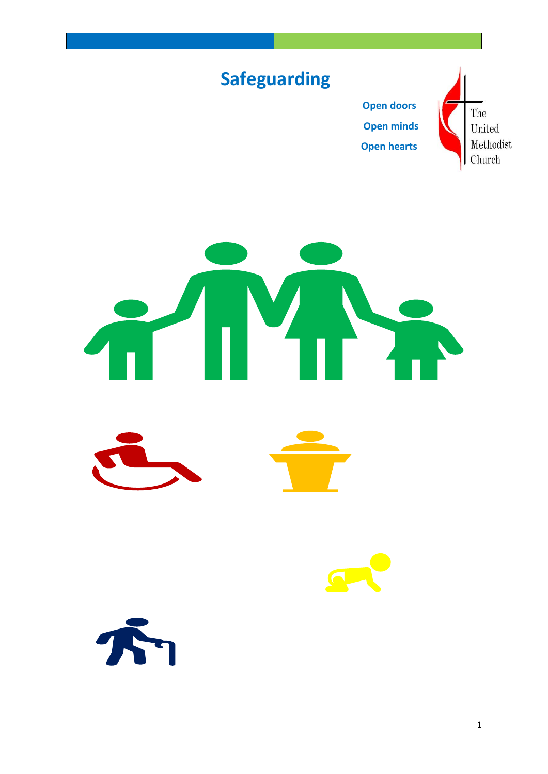



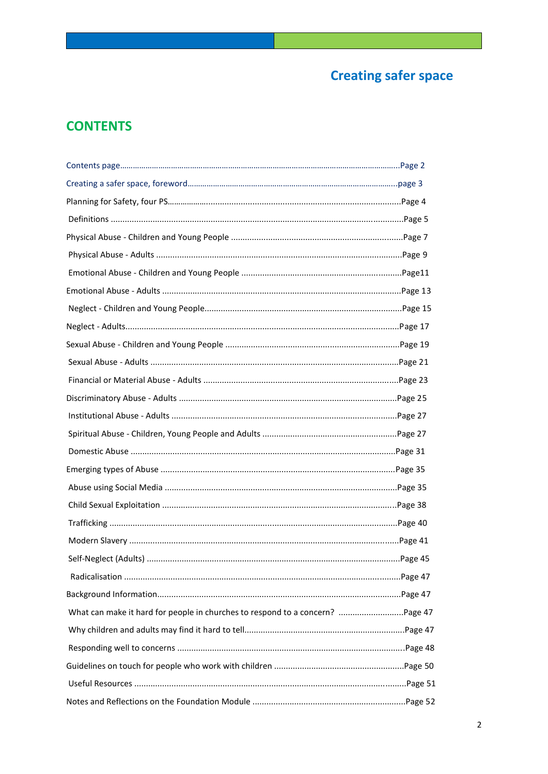# **Creating safer space**

# **CONTENTS**

| What can make it hard for people in churches to respond to a concern? Page 47 |  |
|-------------------------------------------------------------------------------|--|
|                                                                               |  |
|                                                                               |  |
|                                                                               |  |
|                                                                               |  |
|                                                                               |  |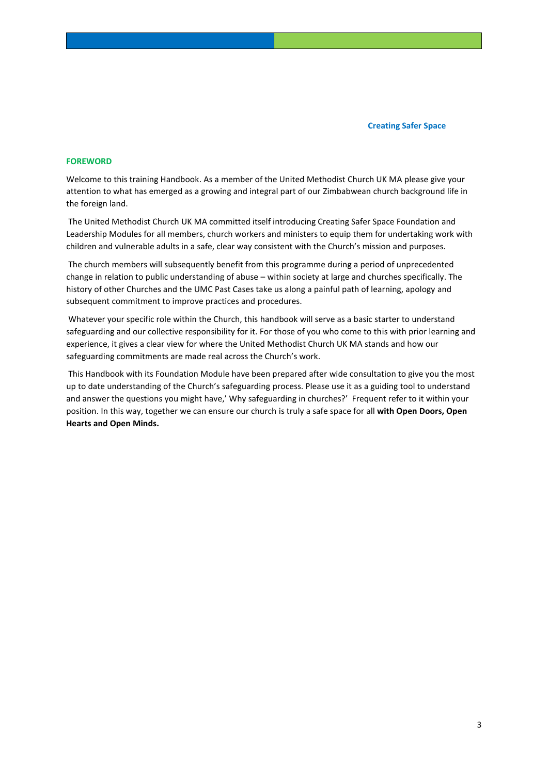## **FOREWORD**

Welcome to this training Handbook. As a member of the United Methodist Church UK MA please give your attention to what has emerged as a growing and integral part of our Zimbabwean church background life in the foreign land.

The United Methodist Church UK MA committed itself introducing Creating Safer Space Foundation and Leadership Modules for all members, church workers and ministers to equip them for undertaking work with children and vulnerable adults in a safe, clear way consistent with the Church's mission and purposes.

The church members will subsequently benefit from this programme during a period of unprecedented change in relation to public understanding of abuse – within society at large and churches specifically. The history of other Churches and the UMC Past Cases take us along a painful path of learning, apology and subsequent commitment to improve practices and procedures.

Whatever your specific role within the Church, this handbook will serve as a basic starter to understand safeguarding and our collective responsibility for it. For those of you who come to this with prior learning and experience, it gives a clear view for where the United Methodist Church UK MA stands and how our safeguarding commitments are made real across the Church's work.

This Handbook with its Foundation Module have been prepared after wide consultation to give you the most up to date understanding of the Church's safeguarding process. Please use it as a guiding tool to understand and answer the questions you might have,' Why safeguarding in churches?' Frequent refer to it within your position. In this way, together we can ensure our church is truly a safe space for all **with Open Doors, Open Hearts and Open Minds.**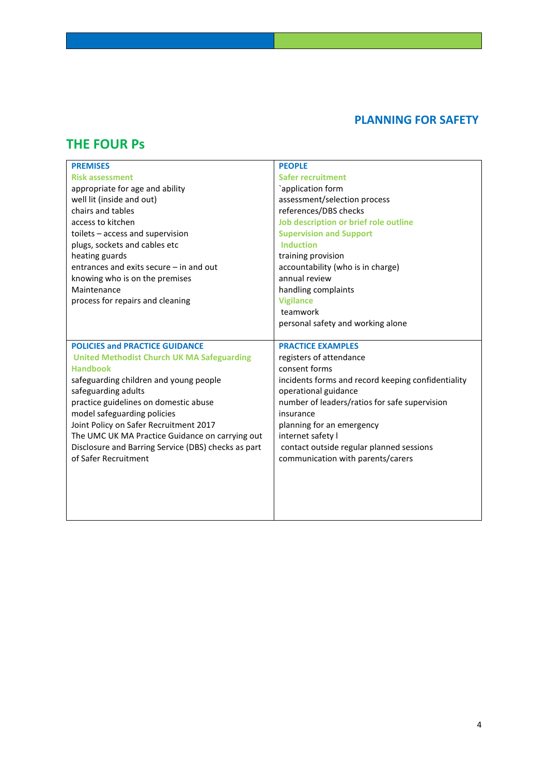## **PLANNING FOR SAFETY**

## **THE FOUR Ps**

| <b>PREMISES</b>                                     | <b>PEOPLE</b>                                      |
|-----------------------------------------------------|----------------------------------------------------|
| <b>Risk assessment</b>                              | <b>Safer recruitment</b>                           |
| appropriate for age and ability                     | `application form                                  |
| well lit (inside and out)                           | assessment/selection process                       |
| chairs and tables                                   | references/DBS checks                              |
| access to kitchen                                   | Job description or brief role outline              |
| toilets - access and supervision                    | <b>Supervision and Support</b>                     |
| plugs, sockets and cables etc                       | <b>Induction</b>                                   |
| heating guards                                      | training provision                                 |
| entrances and exits secure - in and out             | accountability (who is in charge)                  |
| knowing who is on the premises                      | annual review                                      |
| Maintenance                                         | handling complaints                                |
| process for repairs and cleaning                    | <b>Vigilance</b>                                   |
|                                                     | teamwork                                           |
|                                                     | personal safety and working alone                  |
|                                                     |                                                    |
| <b>POLICIES and PRACTICE GUIDANCE</b>               | <b>PRACTICE EXAMPLES</b>                           |
| <b>United Methodist Church UK MA Safeguarding</b>   | registers of attendance                            |
| <b>Handbook</b>                                     | consent forms                                      |
|                                                     |                                                    |
| safeguarding children and young people              | incidents forms and record keeping confidentiality |
| safeguarding adults                                 | operational guidance                               |
| practice guidelines on domestic abuse               | number of leaders/ratios for safe supervision      |
| model safeguarding policies                         | insurance                                          |
| Joint Policy on Safer Recruitment 2017              | planning for an emergency                          |
| The UMC UK MA Practice Guidance on carrying out     | internet safety I                                  |
| Disclosure and Barring Service (DBS) checks as part | contact outside regular planned sessions           |
| of Safer Recruitment                                | communication with parents/carers                  |
|                                                     |                                                    |
|                                                     |                                                    |
|                                                     |                                                    |
|                                                     |                                                    |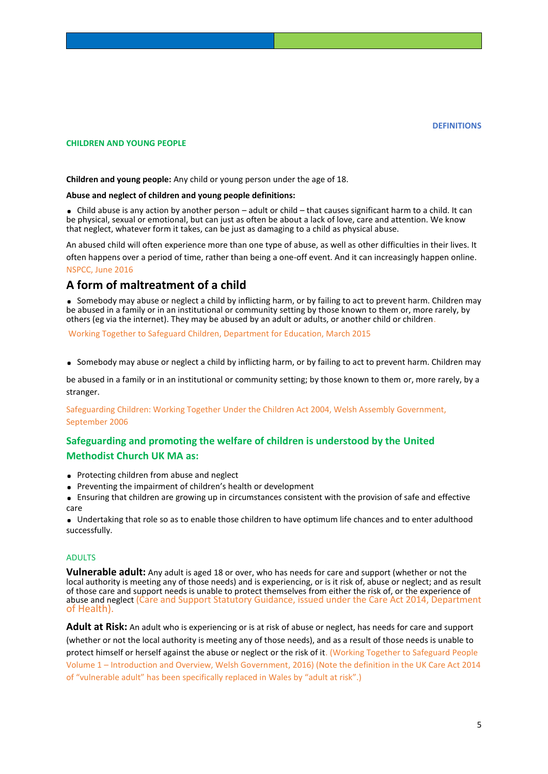## **CHILDREN AND YOUNG PEOPLE**

**Children and young people:** Any child or young person under the age of 18.

#### **Abuse and neglect of children and young people definitions:**

**.** Child abuse is any action by another person – adult or child – that causes significant harm to a child. It can be physical, sexual or emotional, but can just as often be about a lack of love, care and attention. We know that neglect, whatever form it takes, can be just as damaging to a child as physical abuse.

An abused child will often experience more than one type of abuse, as well as other difficulties in their lives. It

often happens over a period of time, rather than being a one-off event. And it can increasingly happen online. NSPCC, June 2016

## **A form of maltreatment of a child**

**.** Somebody may abuse or neglect a child by inflicting harm, or by failing to act to prevent harm. Children may be abused in a family or in an institutional or community setting by those known to them or, more rarely, by others (eg via the internet). They may be abused by an adult or adults, or another child or children.

Working Together to Safeguard Children, Department for Education, March 2015

**.** Somebody may abuse or neglect a child by inflicting harm, or by failing to act to prevent harm. Children may

be abused in a family or in an institutional or community setting; by those known to them or, more rarely, by a stranger.

Safeguarding Children: Working Together Under the Children Act 2004, Welsh Assembly Government, September 2006

## **Safeguarding and promoting the welfare of children is understood by the United Methodist Church UK MA as:**

- **.** Protecting children from abuse and neglect
- **.** <sup>P</sup>reventing the impairment of children's health or development
- **.** Ensuring that children are growing up in circumstances consistent with the provision of safe and effective care

**.** Undertaking that role so as to enable those children to have optimum life chances and to enter adulthood successfully.

## ADULTS

**Vulnerable adult:** Any adult is aged 18 or over, who has needs for care and support (whether or not the local authority is meeting any of those needs) and is experiencing, or is it risk of, abuse or neglect; and as result of those care and support needs is unable to protect themselves from either the risk of, or the experience of abuse and neglect (Care and Support Statutory Guidance, issued under the Care Act 2014, Department of Health).

**Adult at Risk:** An adult who is experiencing or is at risk of abuse or neglect, has needs for care and support (whether or not the local authority is meeting any of those needs), and as a result of those needs is unable to protect himself or herself against the abuse or neglect or the risk of it. (Working Together to Safeguard People Volume 1 – Introduction and Overview, Welsh Government, 2016) (Note the definition in the UK Care Act 2014 of "vulnerable adult" has been specifically replaced in Wales by "adult at risk".)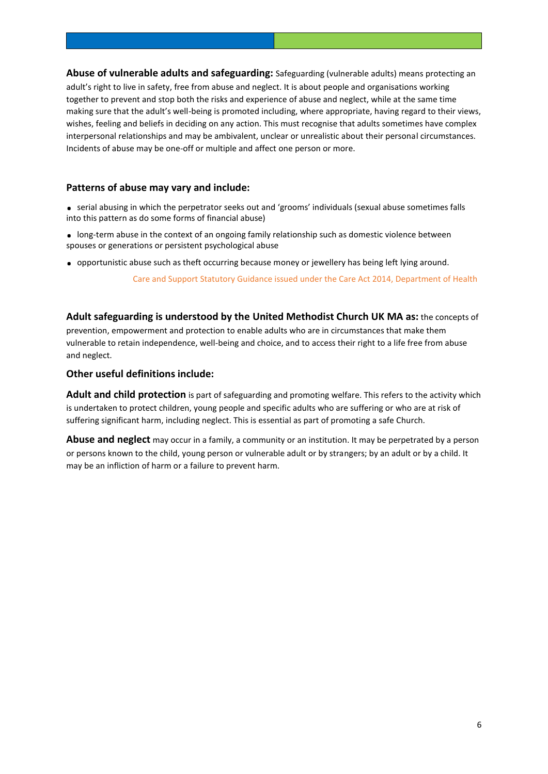**Abuse of vulnerable adults and safeguarding:** Safeguarding (vulnerable adults) means protecting an adult's right to live in safety, free from abuse and neglect. It is about people and organisations working together to prevent and stop both the risks and experience of abuse and neglect, while at the same time making sure that the adult's well-being is promoted including, where appropriate, having regard to their views, wishes, feeling and beliefs in deciding on any action. This must recognise that adults sometimes have complex interpersonal relationships and may be ambivalent, unclear or unrealistic about their personal circumstances. Incidents of abuse may be one-off or multiple and affect one person or more.

## **Patterns of abuse may vary and include:**

- **.** serial abusing in which the perpetrator seeks out and 'grooms' individuals (sexual abuse sometimes falls into this pattern as do some forms of financial abuse)
- **.** long-term abuse in the context of an ongoing family relationship such as domestic violence between spouses or generations or persistent psychological abuse
- **.** opportunistic abuse such as theft occurring because money or jewellery has being left lying around.

Care and Support Statutory Guidance issued under the Care Act 2014, Department of Health

**Adult safeguarding is understood by the United Methodist Church UK MA as:** the concepts of prevention, empowerment and protection to enable adults who are in circumstances that make them vulnerable to retain independence, well-being and choice, and to access their right to a life free from abuse and neglect.

## **Other useful definitions include:**

**Adult and child protection** is part of safeguarding and promoting welfare. This refers to the activity which is undertaken to protect children, young people and specific adults who are suffering or who are at risk of suffering significant harm, including neglect. This is essential as part of promoting a safe Church.

**Abuse and neglect** may occur in a family, a community or an institution. It may be perpetrated by a person or persons known to the child, young person or vulnerable adult or by strangers; by an adult or by a child. It may be an infliction of harm or a failure to prevent harm.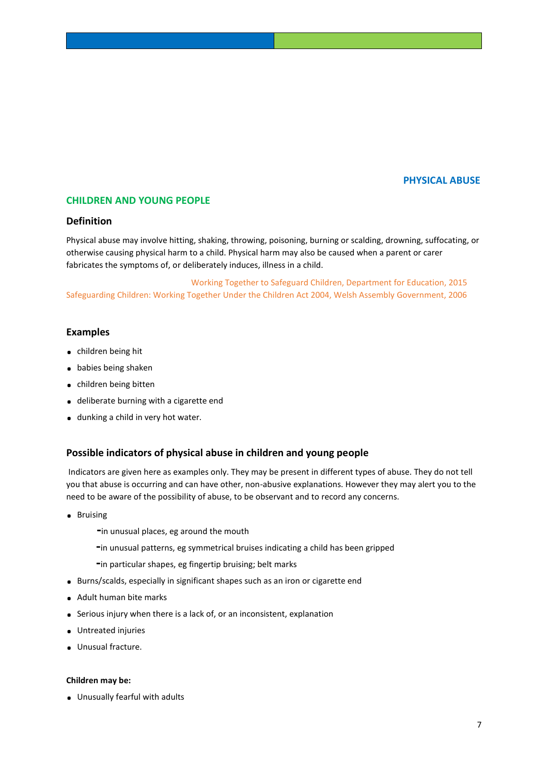## **PHYSICAL ABUSE**

## **CHILDREN AND YOUNG PEOPLE**

## **Definition**

Physical abuse may involve hitting, shaking, throwing, poisoning, burning or scalding, drowning, suffocating, or otherwise causing physical harm to a child. Physical harm may also be caused when a parent or carer fabricates the symptoms of, or deliberately induces, illness in a child.

 Working Together to Safeguard Children, Department for Education, 2015 Safeguarding Children: Working Together Under the Children Act 2004, Welsh Assembly Government, 2006

## **Examples**

- **.** children being hit
- **.** babies being shaken
- **.** children being bitten
- **.** deliberate burning with a cigarette end
- **.** dunking a child in very hot water.

## **Possible indicators of physical abuse in children and young people**

Indicators are given here as examples only. They may be present in different types of abuse. They do not tell you that abuse is occurring and can have other, non-abusive explanations. However they may alert you to the need to be aware of the possibility of abuse, to be observant and to record any concerns.

- **.** Bruising
	- **-**in unusual places, eg around the mouth
	- **-**in unusual patterns, eg symmetrical bruises indicating a child has been gripped
	- **-**in particular shapes, eg fingertip bruising; belt marks
- **.** Burns/scalds, especially in significant shapes such as an iron or cigarette end
- **.** Adult human bite marks
- **.** Serious injury when there is a lack of, or an inconsistent, explanation
- **.** Untreated injuries
- **.** Unusual fracture.

#### **Children may be:**

**.** Unusually fearful with adults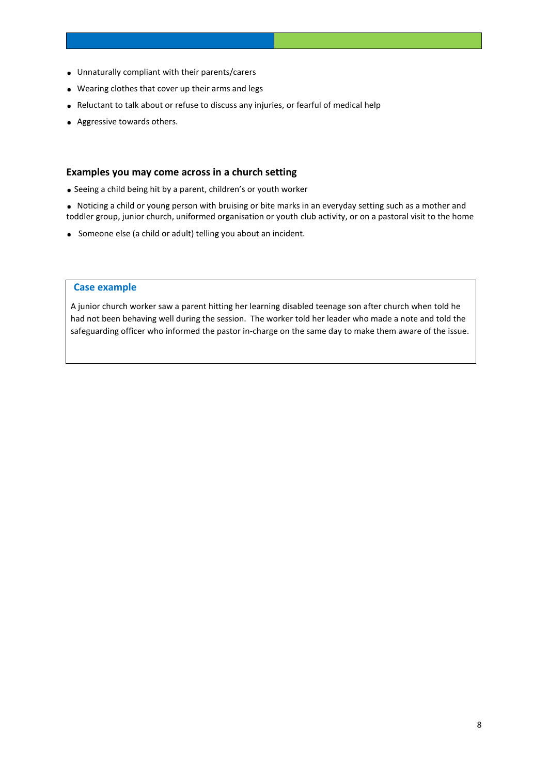- **.** Unnaturally compliant with their parents/carers
- **.** Wearing clothes that cover up their arms and legs
- **.** Reluctant to talk about or refuse to discuss any injuries, or fearful of medical help
- **.** Aggressive towards others.

## **Examples you may come across in a church setting**

- **.** <sup>S</sup>eeing a child being hit by a parent, children's or youth worker
- **.** Noticing a child or young person with bruising or bite marks in an everyday setting such as a mother and toddler group, junior church, uniformed organisation or youth club activity, or on a pastoral visit to the home
- **.** Someone else (a child or adult) telling you about an incident.

## **Case example**

A junior church worker saw a parent hitting her learning disabled teenage son after church when told he had not been behaving well during the session. The worker told her leader who made a note and told the safeguarding officer who informed the pastor in-charge on the same day to make them aware of the issue.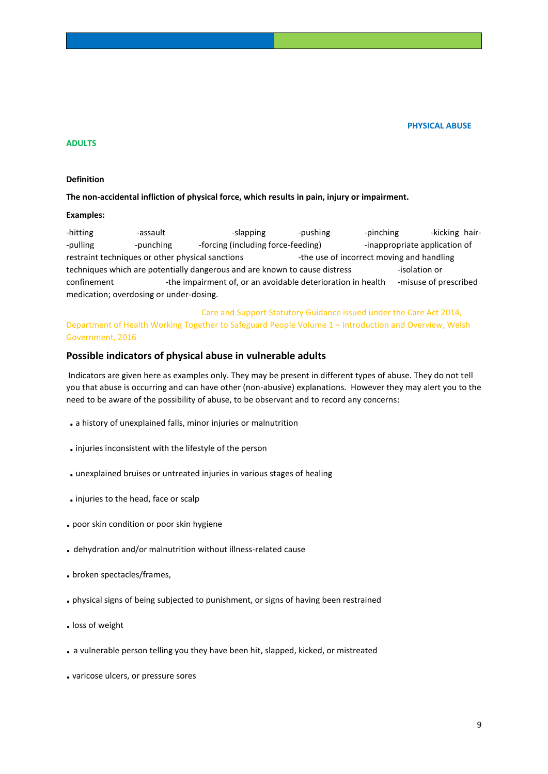**PHYSICAL ABUSE**

#### **ADULTS**

#### **Definition**

#### **The non-accidental infliction of physical force, which results in pain, injury or impairment.**

#### **Examples:**

-hitting -assault -slapping -pushing -pinching -kicking hair--pulling -punching -forcing (including force-feeding) -inappropriate application of restraint techniques or other physical sanctions -the use of incorrect moving and handling techniques which are potentially dangerous and are known to cause distress -isolation or confinement -the impairment of, or an avoidable deterioration in health -misuse of prescribed medication; overdosing or under-dosing.

 Care and Support Statutory Guidance issued under the Care Act 2014, Department of Health Working Together to Safeguard People Volume 1 – Introduction and Overview, Welsh Government, 2016

## **Possible indicators of physical abuse in vulnerable adults**

Indicators are given here as examples only. They may be present in different types of abuse. They do not tell you that abuse is occurring and can have other (non-abusive) explanations. However they may alert you to the need to be aware of the possibility of abuse, to be observant and to record any concerns:

- **.** a history of unexplained falls, minor injuries or malnutrition
- **.** injuries inconsistent with the lifestyle of the person
- **.** unexplained bruises or untreated injuries in various stages of healing
- **.** injuries to the head, face or scalp
- **.** poor skin condition or poor skin hygiene
- **.** dehydration and/or malnutrition without illness-related cause
- **.** broken spectacles/frames,
- **.** physical signs of being subjected to punishment, or signs of having been restrained
- **.** loss of weight
- **.** a vulnerable person telling you they have been hit, slapped, kicked, or mistreated
- **.** varicose ulcers, or pressure sores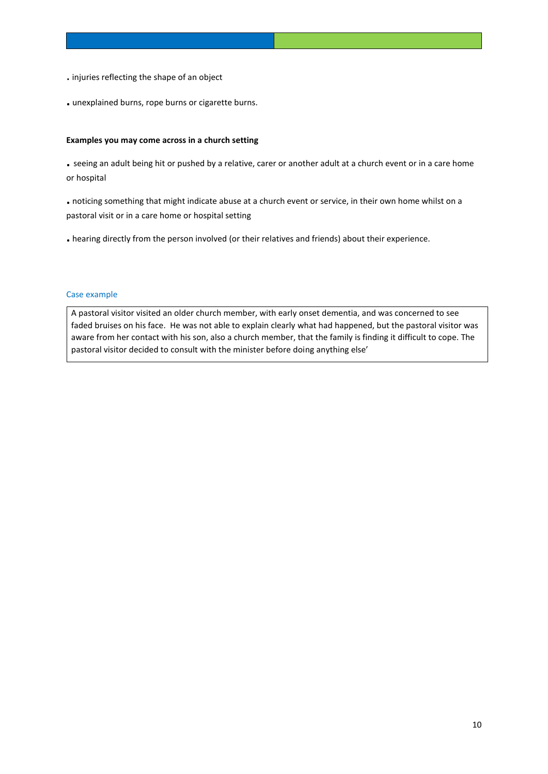- . injuries reflecting the shape of an object
- **.** unexplained burns, rope burns or cigarette burns.

## **Examples you may come across in a church setting**

**.** seeing an adult being hit or pushed by a relative, carer or another adult at a church event or in a care home or hospital

**.** noticing something that might indicate abuse at a church event or service, in their own home whilst on a pastoral visit or in a care home or hospital setting

**.** hearing directly from the person involved (or their relatives and friends) about their experience.

## Case example

A pastoral visitor visited an older church member, with early onset dementia, and was concerned to see faded bruises on his face. He was not able to explain clearly what had happened, but the pastoral visitor was aware from her contact with his son, also a church member, that the family is finding it difficult to cope. The pastoral visitor decided to consult with the minister before doing anything else'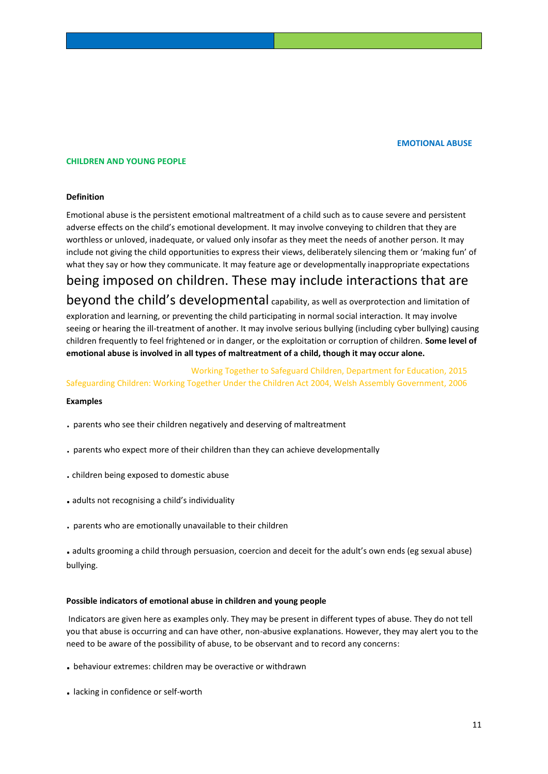#### **EMOTIONAL ABUSE**

#### **CHILDREN AND YOUNG PEOPLE**

#### **Definition**

Emotional abuse is the persistent emotional maltreatment of a child such as to cause severe and persistent adverse effects on the child's emotional development. It may involve conveying to children that they are worthless or unloved, inadequate, or valued only insofar as they meet the needs of another person. It may include not giving the child opportunities to express their views, deliberately silencing them or 'making fun' of what they say or how they communicate. It may feature age or developmentally inappropriate expectations

# being imposed on children. These may include interactions that are

beyond the child's developmental capability, as well as overprotection and limitation of exploration and learning, or preventing the child participating in normal social interaction. It may involve seeing or hearing the ill-treatment of another. It may involve serious bullying (including cyber bullying) causing children frequently to feel frightened or in danger, or the exploitation or corruption of children. **Some level of emotional abuse is involved in all types of maltreatment of a child, though it may occur alone.**

## Working Together to Safeguard Children, Department for Education, 2015 Safeguarding Children: Working Together Under the Children Act 2004, Welsh Assembly Government, 2006

#### **Examples**

- . parents who see their children negatively and deserving of maltreatment
- . parents who expect more of their children than they can achieve developmentally
- . children being exposed to domestic abuse
- **.** adults not recognising a child's individuality
- . parents who are emotionally unavailable to their children

**.** adults grooming a child through persuasion, coercion and deceit for the adult's own ends (eg sexual abuse) bullying.

#### **Possible indicators of emotional abuse in children and young people**

Indicators are given here as examples only. They may be present in different types of abuse. They do not tell you that abuse is occurring and can have other, non-abusive explanations. However, they may alert you to the need to be aware of the possibility of abuse, to be observant and to record any concerns:

- **.** behaviour extremes: children may be overactive or withdrawn
- **.** lacking in confidence or self-worth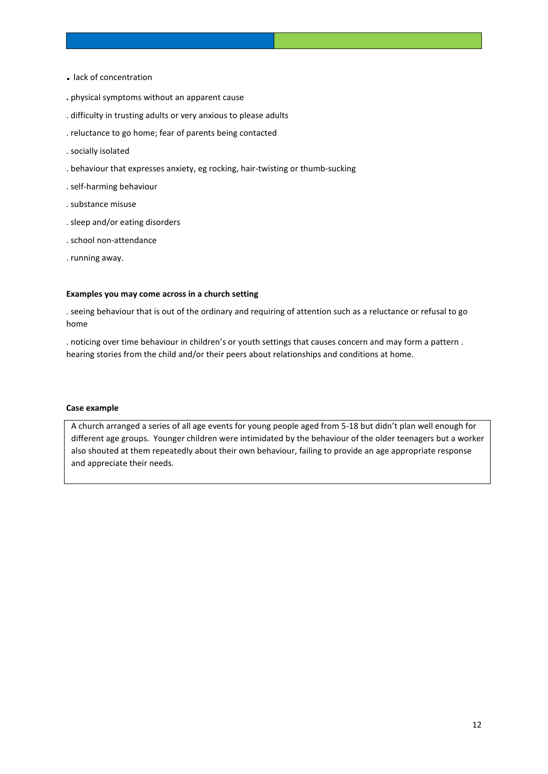- **.** lack of concentration
- **.** physical symptoms without an apparent cause
- . difficulty in trusting adults or very anxious to please adults
- . reluctance to go home; fear of parents being contacted
- . socially isolated
- . behaviour that expresses anxiety, eg rocking, hair-twisting or thumb-sucking
- . self-harming behaviour
- . substance misuse
- . sleep and/or eating disorders
- . school non-attendance
- . running away.

#### **Examples you may come across in a church setting**

. seeing behaviour that is out of the ordinary and requiring of attention such as a reluctance or refusal to go home

. noticing over time behaviour in children's or youth settings that causes concern and may form a pattern . hearing stories from the child and/or their peers about relationships and conditions at home.

## **Case example**

A church arranged a series of all age events for young people aged from 5-18 but didn't plan well enough for different age groups. Younger children were intimidated by the behaviour of the older teenagers but a worker also shouted at them repeatedly about their own behaviour, failing to provide an age appropriate response and appreciate their needs.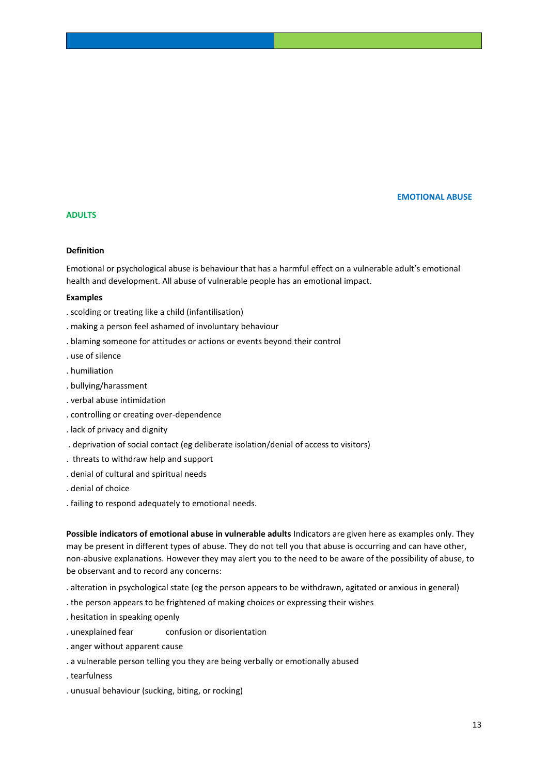#### **EMOTIONAL ABUSE**

## **ADULTS**

## **Definition**

Emotional or psychological abuse is behaviour that has a harmful effect on a vulnerable adult's emotional health and development. All abuse of vulnerable people has an emotional impact.

## **Examples**

- . scolding or treating like a child (infantilisation)
- . making a person feel ashamed of involuntary behaviour
- . blaming someone for attitudes or actions or events beyond their control
- . use of silence
- . humiliation
- . bullying/harassment
- . verbal abuse intimidation
- . controlling or creating over-dependence
- . lack of privacy and dignity
- . deprivation of social contact (eg deliberate isolation/denial of access to visitors)
- . threats to withdraw help and support
- . denial of cultural and spiritual needs
- . denial of choice
- . failing to respond adequately to emotional needs.

**Possible indicators of emotional abuse in vulnerable adults** Indicators are given here as examples only. They may be present in different types of abuse. They do not tell you that abuse is occurring and can have other, non-abusive explanations. However they may alert you to the need to be aware of the possibility of abuse, to be observant and to record any concerns:

- . alteration in psychological state (eg the person appears to be withdrawn, agitated or anxious in general)
- . the person appears to be frightened of making choices or expressing their wishes
- . hesitation in speaking openly
- . unexplained fear confusion or disorientation
- . anger without apparent cause
- . a vulnerable person telling you they are being verbally or emotionally abused
- . tearfulness
- . unusual behaviour (sucking, biting, or rocking)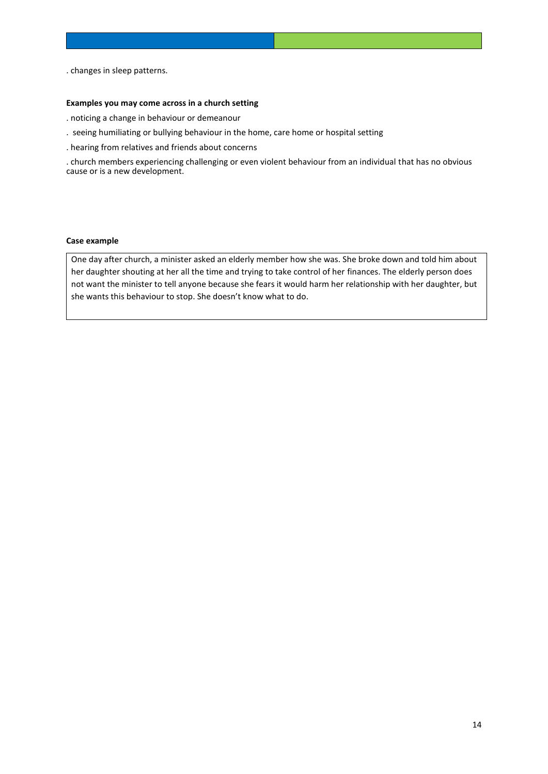. changes in sleep patterns.

#### **Examples you may come across in a church setting**

- . noticing a change in behaviour or demeanour
- . seeing humiliating or bullying behaviour in the home, care home or hospital setting
- . hearing from relatives and friends about concerns

. church members experiencing challenging or even violent behaviour from an individual that has no obvious cause or is a new development.

## **Case example**

One day after church, a minister asked an elderly member how she was. She broke down and told him about her daughter shouting at her all the time and trying to take control of her finances. The elderly person does not want the minister to tell anyone because she fears it would harm her relationship with her daughter, but she wants this behaviour to stop. She doesn't know what to do.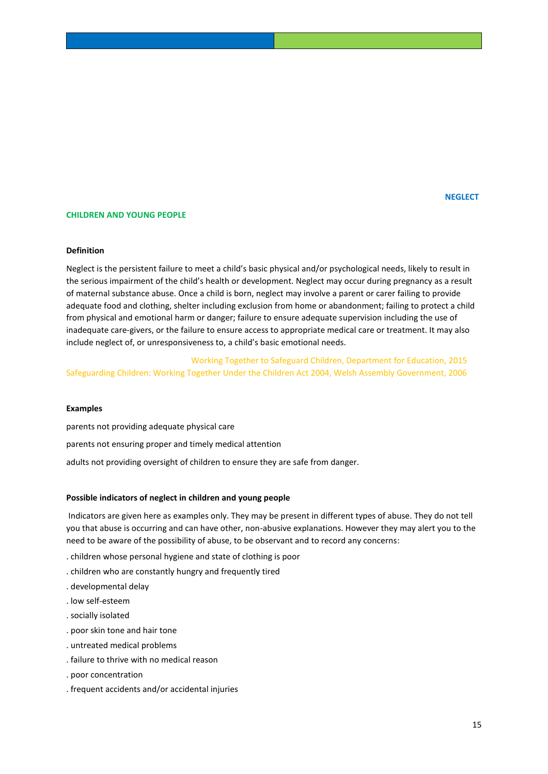#### **CHILDREN AND YOUNG PEOPLE**

## **Definition**

Neglect is the persistent failure to meet a child's basic physical and/or psychological needs, likely to result in the serious impairment of the child's health or development. Neglect may occur during pregnancy as a result of maternal substance abuse. Once a child is born, neglect may involve a parent or carer failing to provide adequate food and clothing, shelter including exclusion from home or abandonment; failing to protect a child from physical and emotional harm or danger; failure to ensure adequate supervision including the use of inadequate care-givers, or the failure to ensure access to appropriate medical care or treatment. It may also include neglect of, or unresponsiveness to, a child's basic emotional needs.

 Working Together to Safeguard Children, Department for Education, 2015 Safeguarding Children: Working Together Under the Children Act 2004, Welsh Assembly Government, 2006

#### **Examples**

parents not providing adequate physical care parents not ensuring proper and timely medical attention adults not providing oversight of children to ensure they are safe from danger.

#### **Possible indicators of neglect in children and young people**

Indicators are given here as examples only. They may be present in different types of abuse. They do not tell you that abuse is occurring and can have other, non-abusive explanations. However they may alert you to the need to be aware of the possibility of abuse, to be observant and to record any concerns:

- . children whose personal hygiene and state of clothing is poor
- . children who are constantly hungry and frequently tired
- . developmental delay
- . low self-esteem
- . socially isolated
- . poor skin tone and hair tone
- . untreated medical problems
- . failure to thrive with no medical reason
- . poor concentration
- . frequent accidents and/or accidental injuries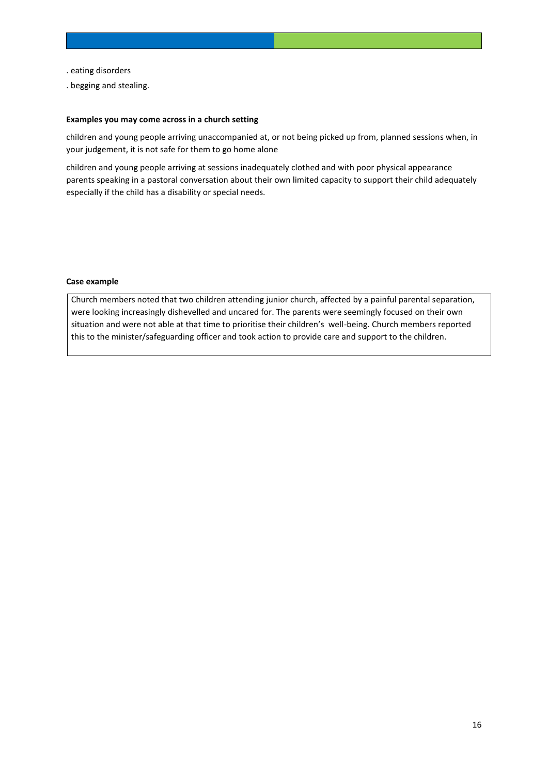- . eating disorders
- . begging and stealing.

## **Examples you may come across in a church setting**

children and young people arriving unaccompanied at, or not being picked up from, planned sessions when, in your judgement, it is not safe for them to go home alone

children and young people arriving at sessions inadequately clothed and with poor physical appearance parents speaking in a pastoral conversation about their own limited capacity to support their child adequately especially if the child has a disability or special needs.

#### **Case example**

Church members noted that two children attending junior church, affected by a painful parental separation, were looking increasingly dishevelled and uncared for. The parents were seemingly focused on their own situation and were not able at that time to prioritise their children's well-being. Church members reported this to the minister/safeguarding officer and took action to provide care and support to the children.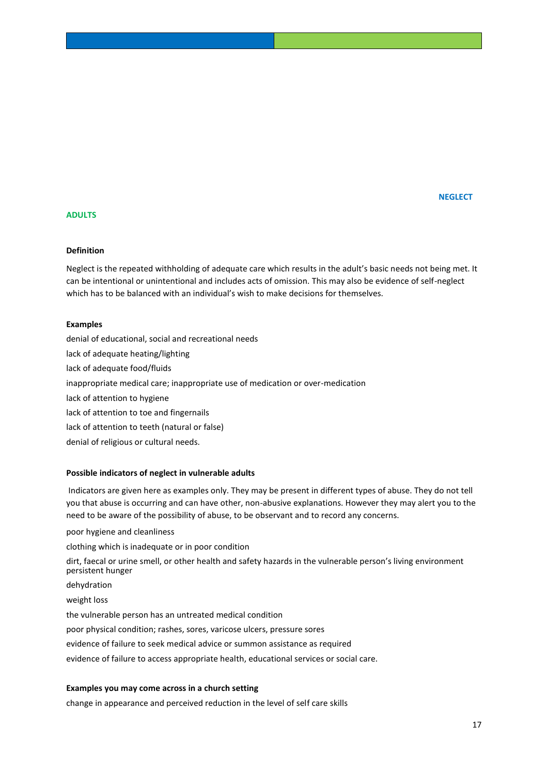## **NEGLECT In the contract of the contract of the contract of the contract of the contract of the contract of the contract of the contract of the contract of the contract of the contract of the contract of the contract of th**

## **ADULTS**

## **Definition**

Neglect is the repeated withholding of adequate care which results in the adult's basic needs not being met. It can be intentional or unintentional and includes acts of omission. This may also be evidence of self-neglect which has to be balanced with an individual's wish to make decisions for themselves.

#### **Examples**

denial of educational, social and recreational needs lack of adequate heating/lighting lack of adequate food/fluids inappropriate medical care; inappropriate use of medication or over-medication lack of attention to hygiene lack of attention to toe and fingernails lack of attention to teeth (natural or false) denial of religious or cultural needs.

#### **Possible indicators of neglect in vulnerable adults**

Indicators are given here as examples only. They may be present in different types of abuse. They do not tell you that abuse is occurring and can have other, non-abusive explanations. However they may alert you to the need to be aware of the possibility of abuse, to be observant and to record any concerns.

poor hygiene and cleanliness

clothing which is inadequate or in poor condition

dirt, faecal or urine smell, or other health and safety hazards in the vulnerable person's living environment persistent hunger

dehydration

weight loss

the vulnerable person has an untreated medical condition

poor physical condition; rashes, sores, varicose ulcers, pressure sores

evidence of failure to seek medical advice or summon assistance as required

evidence of failure to access appropriate health, educational services or social care.

## **Examples you may come across in a church setting**

change in appearance and perceived reduction in the level of self care skills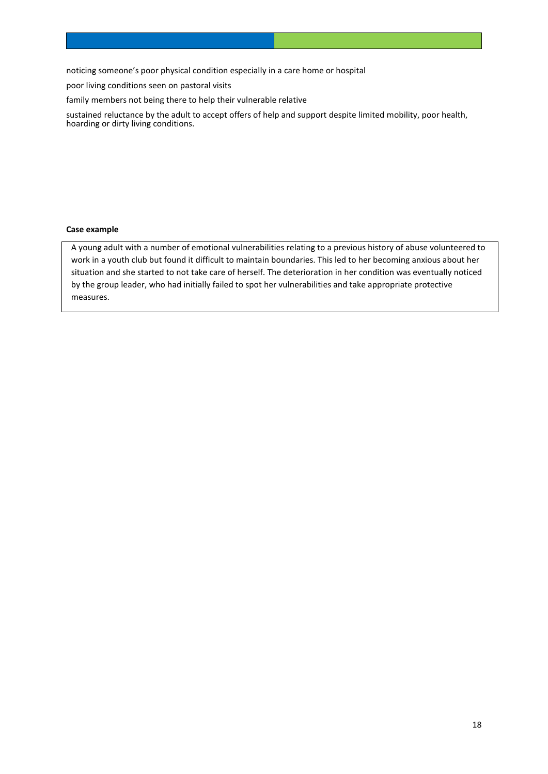noticing someone's poor physical condition especially in a care home or hospital

poor living conditions seen on pastoral visits

family members not being there to help their vulnerable relative

sustained reluctance by the adult to accept offers of help and support despite limited mobility, poor health, hoarding or dirty living conditions.

#### **Case example**

A young adult with a number of emotional vulnerabilities relating to a previous history of abuse volunteered to work in a youth club but found it difficult to maintain boundaries. This led to her becoming anxious about her situation and she started to not take care of herself. The deterioration in her condition was eventually noticed by the group leader, who had initially failed to spot her vulnerabilities and take appropriate protective measures.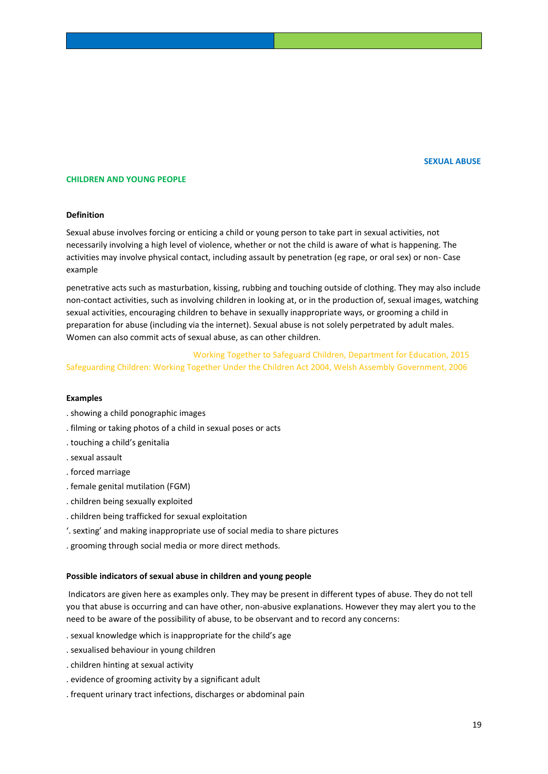#### **SEXUAL ABUSE**

### **CHILDREN AND YOUNG PEOPLE**

#### **Definition**

Sexual abuse involves forcing or enticing a child or young person to take part in sexual activities, not necessarily involving a high level of violence, whether or not the child is aware of what is happening. The activities may involve physical contact, including assault by penetration (eg rape, or oral sex) or non- Case example

penetrative acts such as masturbation, kissing, rubbing and touching outside of clothing. They may also include non-contact activities, such as involving children in looking at, or in the production of, sexual images, watching sexual activities, encouraging children to behave in sexually inappropriate ways, or grooming a child in preparation for abuse (including via the internet). Sexual abuse is not solely perpetrated by adult males. Women can also commit acts of sexual abuse, as can other children.

 Working Together to Safeguard Children, Department for Education, 2015 Safeguarding Children: Working Together Under the Children Act 2004, Welsh Assembly Government, 2006

#### **Examples**

- . showing a child ponographic images
- . filming or taking photos of a child in sexual poses or acts
- . touching a child's genitalia
- . sexual assault
- . forced marriage
- . female genital mutilation (FGM)
- . children being sexually exploited
- . children being trafficked for sexual exploitation
- '. sexting' and making inappropriate use of social media to share pictures
- . grooming through social media or more direct methods.

#### **Possible indicators of sexual abuse in children and young people**

Indicators are given here as examples only. They may be present in different types of abuse. They do not tell you that abuse is occurring and can have other, non-abusive explanations. However they may alert you to the need to be aware of the possibility of abuse, to be observant and to record any concerns:

- . sexual knowledge which is inappropriate for the child's age
- . sexualised behaviour in young children
- . children hinting at sexual activity
- . evidence of grooming activity by a significant adult
- . frequent urinary tract infections, discharges or abdominal pain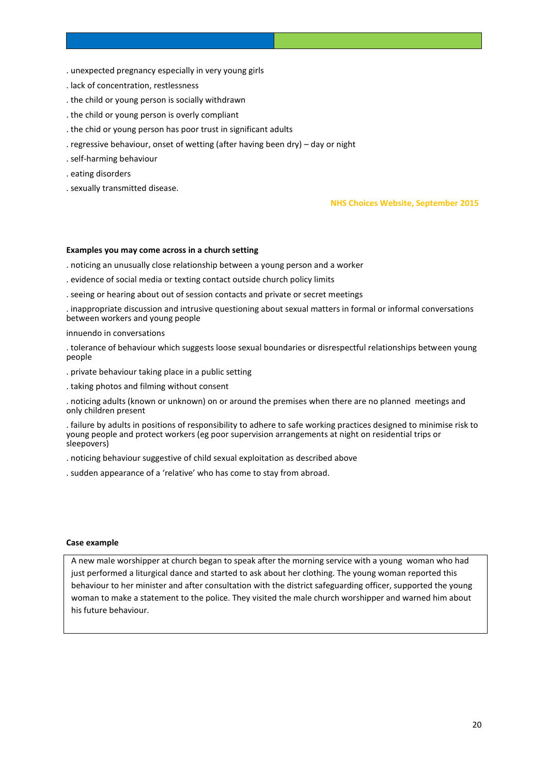- . unexpected pregnancy especially in very young girls
- . lack of concentration, restlessness
- . the child or young person is socially withdrawn
- . the child or young person is overly compliant
- . the chid or young person has poor trust in significant adults
- . regressive behaviour, onset of wetting (after having been dry) day or night
- . self-harming behaviour
- . eating disorders
- . sexually transmitted disease.

#### **NHS Choices Website, September 2015**

#### **Examples you may come across in a church setting**

. noticing an unusually close relationship between a young person and a worker

- . evidence of social media or texting contact outside church policy limits
- . seeing or hearing about out of session contacts and private or secret meetings

. inappropriate discussion and intrusive questioning about sexual matters in formal or informal conversations between workers and young people

#### innuendo in conversations

. tolerance of behaviour which suggests loose sexual boundaries or disrespectful relationships between young people

- . private behaviour taking place in a public setting
- . taking photos and filming without consent

. noticing adults (known or unknown) on or around the premises when there are no planned meetings and only children present

. failure by adults in positions of responsibility to adhere to safe working practices designed to minimise risk to young people and protect workers (eg poor supervision arrangements at night on residential trips or sleepovers)

. noticing behaviour suggestive of child sexual exploitation as described above

. sudden appearance of a 'relative' who has come to stay from abroad.

#### **Case example**

A new male worshipper at church began to speak after the morning service with a young woman who had just performed a liturgical dance and started to ask about her clothing. The young woman reported this behaviour to her minister and after consultation with the district safeguarding officer, supported the young woman to make a statement to the police. They visited the male church worshipper and warned him about his future behaviour.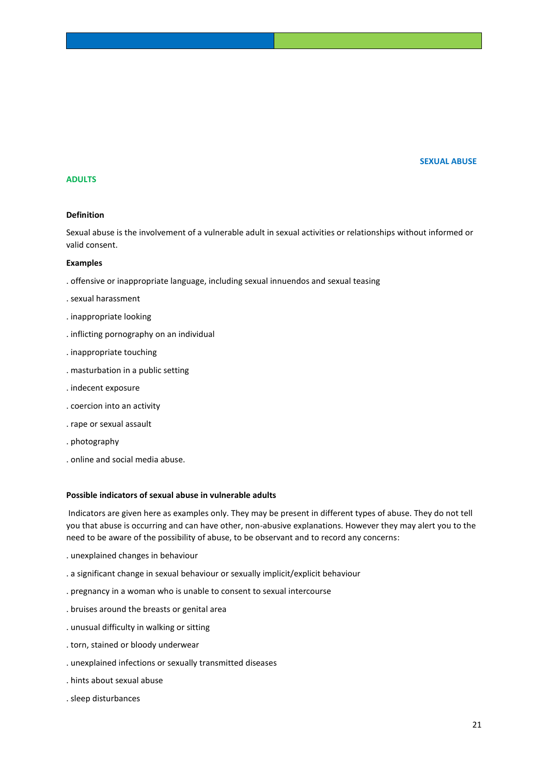## **SEXUAL ABUSE**

## **ADULTS**

#### **Definition**

Sexual abuse is the involvement of a vulnerable adult in sexual activities or relationships without informed or valid consent.

#### **Examples**

- . offensive or inappropriate language, including sexual innuendos and sexual teasing
- . sexual harassment
- . inappropriate looking
- . inflicting pornography on an individual
- . inappropriate touching
- . masturbation in a public setting
- . indecent exposure
- . coercion into an activity
- . rape or sexual assault
- . photography
- . online and social media abuse.

#### **Possible indicators of sexual abuse in vulnerable adults**

Indicators are given here as examples only. They may be present in different types of abuse. They do not tell you that abuse is occurring and can have other, non-abusive explanations. However they may alert you to the need to be aware of the possibility of abuse, to be observant and to record any concerns:

- . unexplained changes in behaviour
- . a significant change in sexual behaviour or sexually implicit/explicit behaviour
- . pregnancy in a woman who is unable to consent to sexual intercourse
- . bruises around the breasts or genital area
- . unusual difficulty in walking or sitting
- . torn, stained or bloody underwear
- . unexplained infections or sexually transmitted diseases
- . hints about sexual abuse
- . sleep disturbances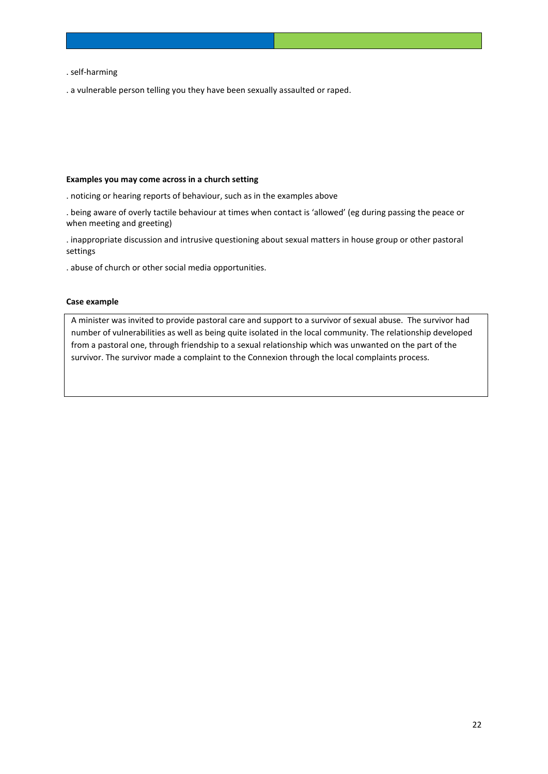#### . self-harming

. a vulnerable person telling you they have been sexually assaulted or raped.

#### **Examples you may come across in a church setting**

- . noticing or hearing reports of behaviour, such as in the examples above
- . being aware of overly tactile behaviour at times when contact is 'allowed' (eg during passing the peace or when meeting and greeting)
- . inappropriate discussion and intrusive questioning about sexual matters in house group or other pastoral settings
- . abuse of church or other social media opportunities.

## **Case example**

A minister was invited to provide pastoral care and support to a survivor of sexual abuse. The survivor had number of vulnerabilities as well as being quite isolated in the local community. The relationship developed from a pastoral one, through friendship to a sexual relationship which was unwanted on the part of the survivor. The survivor made a complaint to the Connexion through the local complaints process.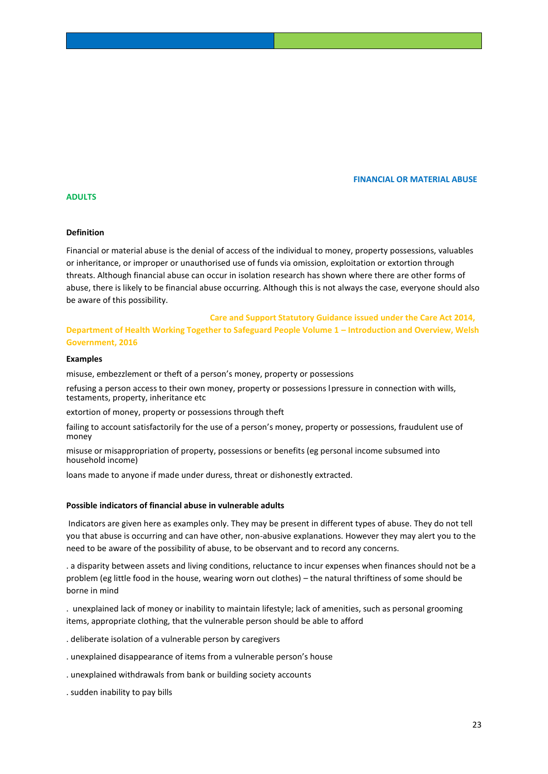**FINANCIAL OR MATERIAL ABUSE**

## **ADULTS**

#### **Definition**

Financial or material abuse is the denial of access of the individual to money, property possessions, valuables or inheritance, or improper or unauthorised use of funds via omission, exploitation or extortion through threats. Although financial abuse can occur in isolation research has shown where there are other forms of abuse, there is likely to be financial abuse occurring. Although this is not always the case, everyone should also be aware of this possibility.

## **Care and Support Statutory Guidance issued under the Care Act 2014, Department of Health Working Together to Safeguard People Volume 1 – Introduction and Overview, Welsh Government, 2016**

#### **Examples**

misuse, embezzlement or theft of a person's money, property or possessions

refusing a person access to their own money, property or possessions lpressure in connection with wills, testaments, property, inheritance etc

extortion of money, property or possessions through theft

failing to account satisfactorily for the use of a person's money, property or possessions, fraudulent use of money

misuse or misappropriation of property, possessions or benefits (eg personal income subsumed into household income)

loans made to anyone if made under duress, threat or dishonestly extracted.

#### **Possible indicators of financial abuse in vulnerable adults**

Indicators are given here as examples only. They may be present in different types of abuse. They do not tell you that abuse is occurring and can have other, non-abusive explanations. However they may alert you to the need to be aware of the possibility of abuse, to be observant and to record any concerns.

. a disparity between assets and living conditions, reluctance to incur expenses when finances should not be a problem (eg little food in the house, wearing worn out clothes) – the natural thriftiness of some should be borne in mind

. unexplained lack of money or inability to maintain lifestyle; lack of amenities, such as personal grooming items, appropriate clothing, that the vulnerable person should be able to afford

. deliberate isolation of a vulnerable person by caregivers

. unexplained disappearance of items from a vulnerable person's house

. unexplained withdrawals from bank or building society accounts

. sudden inability to pay bills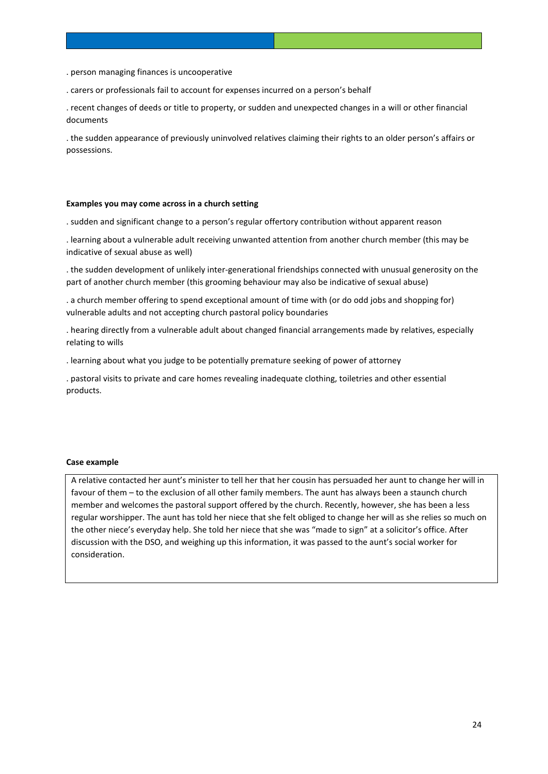. person managing finances is uncooperative

. carers or professionals fail to account for expenses incurred on a person's behalf

. recent changes of deeds or title to property, or sudden and unexpected changes in a will or other financial documents

. the sudden appearance of previously uninvolved relatives claiming their rights to an older person's affairs or possessions.

#### **Examples you may come across in a church setting**

. sudden and significant change to a person's regular offertory contribution without apparent reason

. learning about a vulnerable adult receiving unwanted attention from another church member (this may be indicative of sexual abuse as well)

. the sudden development of unlikely inter-generational friendships connected with unusual generosity on the part of another church member (this grooming behaviour may also be indicative of sexual abuse)

. a church member offering to spend exceptional amount of time with (or do odd jobs and shopping for) vulnerable adults and not accepting church pastoral policy boundaries

. hearing directly from a vulnerable adult about changed financial arrangements made by relatives, especially relating to wills

. learning about what you judge to be potentially premature seeking of power of attorney

. pastoral visits to private and care homes revealing inadequate clothing, toiletries and other essential products.

#### **Case example**

A relative contacted her aunt's minister to tell her that her cousin has persuaded her aunt to change her will in favour of them – to the exclusion of all other family members. The aunt has always been a staunch church member and welcomes the pastoral support offered by the church. Recently, however, she has been a less regular worshipper. The aunt has told her niece that she felt obliged to change her will as she relies so much on the other niece's everyday help. She told her niece that she was "made to sign" at a solicitor's office. After discussion with the DSO, and weighing up this information, it was passed to the aunt's social worker for consideration.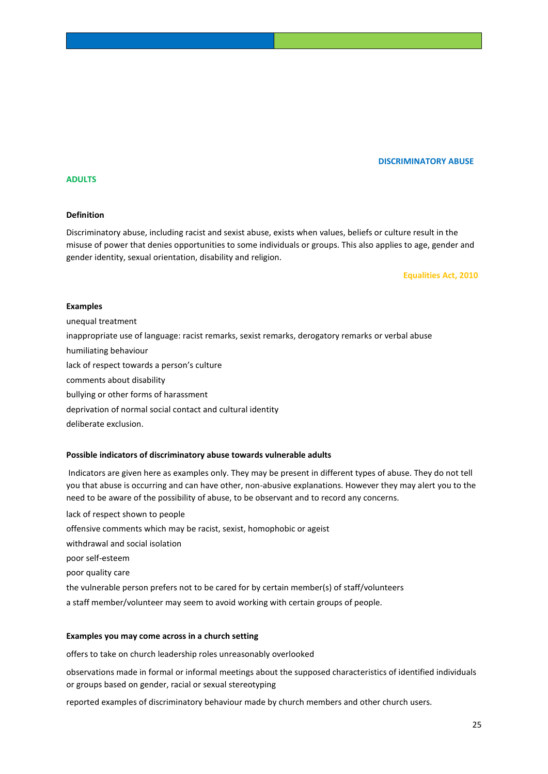## **DISCRIMINATORY ABUSE**

## **ADULTS**

#### **Definition**

Discriminatory abuse, including racist and sexist abuse, exists when values, beliefs or culture result in the misuse of power that denies opportunities to some individuals or groups. This also applies to age, gender and gender identity, sexual orientation, disability and religion.

 **Equalities Act, 2010**

#### **Examples**

unequal treatment inappropriate use of language: racist remarks, sexist remarks, derogatory remarks or verbal abuse humiliating behaviour lack of respect towards a person's culture comments about disability bullying or other forms of harassment deprivation of normal social contact and cultural identity deliberate exclusion.

#### **Possible indicators of discriminatory abuse towards vulnerable adults**

Indicators are given here as examples only. They may be present in different types of abuse. They do not tell you that abuse is occurring and can have other, non-abusive explanations. However they may alert you to the need to be aware of the possibility of abuse, to be observant and to record any concerns.

lack of respect shown to people offensive comments which may be racist, sexist, homophobic or ageist withdrawal and social isolation poor self-esteem poor quality care the vulnerable person prefers not to be cared for by certain member(s) of staff/volunteers a staff member/volunteer may seem to avoid working with certain groups of people.

### **Examples you may come across in a church setting**

offers to take on church leadership roles unreasonably overlooked

observations made in formal or informal meetings about the supposed characteristics of identified individuals or groups based on gender, racial or sexual stereotyping

reported examples of discriminatory behaviour made by church members and other church users.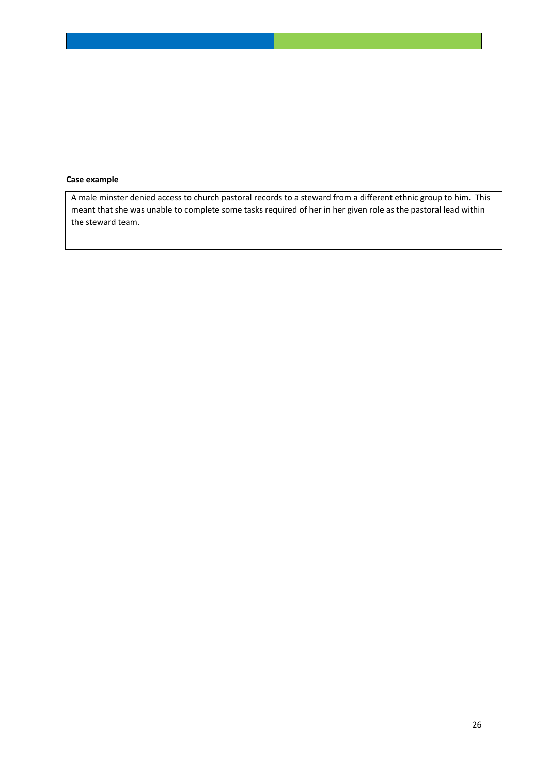## **Case example**

A male minster denied access to church pastoral records to a steward from a different ethnic group to him. This meant that she was unable to complete some tasks required of her in her given role as the pastoral lead within the steward team.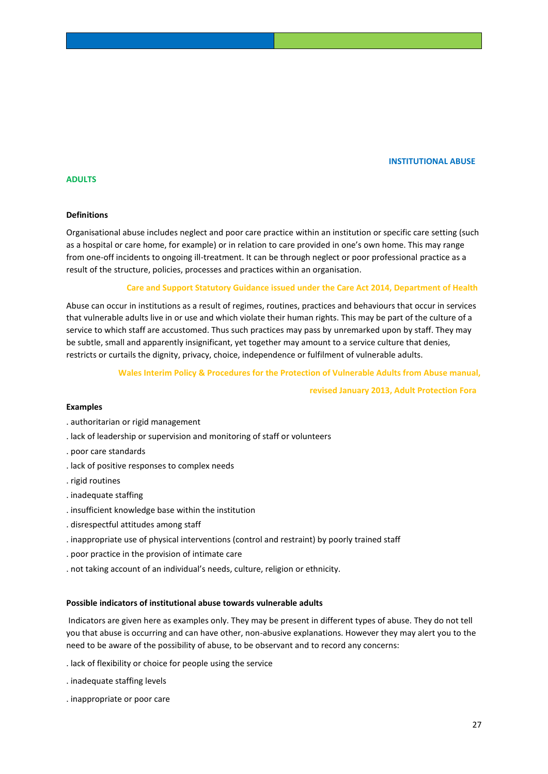#### **INSTITUTIONAL ABUSE**

## **ADULTS**

#### **Definitions**

Organisational abuse includes neglect and poor care practice within an institution or specific care setting (such as a hospital or care home, for example) or in relation to care provided in one's own home. This may range from one-off incidents to ongoing ill-treatment. It can be through neglect or poor professional practice as a result of the structure, policies, processes and practices within an organisation.

#### **Care and Support Statutory Guidance issued under the Care Act 2014, Department of Health**

Abuse can occur in institutions as a result of regimes, routines, practices and behaviours that occur in services that vulnerable adults live in or use and which violate their human rights. This may be part of the culture of a service to which staff are accustomed. Thus such practices may pass by unremarked upon by staff. They may be subtle, small and apparently insignificant, yet together may amount to a service culture that denies, restricts or curtails the dignity, privacy, choice, independence or fulfilment of vulnerable adults.

#### **Wales Interim Policy & Procedures for the Protection of Vulnerable Adults from Abuse manual,**

 **revised January 2013, Adult Protection Fora**

## **Examples**

- . authoritarian or rigid management
- . lack of leadership or supervision and monitoring of staff or volunteers
- . poor care standards
- . lack of positive responses to complex needs
- . rigid routines
- . inadequate staffing
- . insufficient knowledge base within the institution
- . disrespectful attitudes among staff
- . inappropriate use of physical interventions (control and restraint) by poorly trained staff
- . poor practice in the provision of intimate care
- . not taking account of an individual's needs, culture, religion or ethnicity.

#### **Possible indicators of institutional abuse towards vulnerable adults**

Indicators are given here as examples only. They may be present in different types of abuse. They do not tell you that abuse is occurring and can have other, non-abusive explanations. However they may alert you to the need to be aware of the possibility of abuse, to be observant and to record any concerns:

- . lack of flexibility or choice for people using the service
- . inadequate staffing levels
- . inappropriate or poor care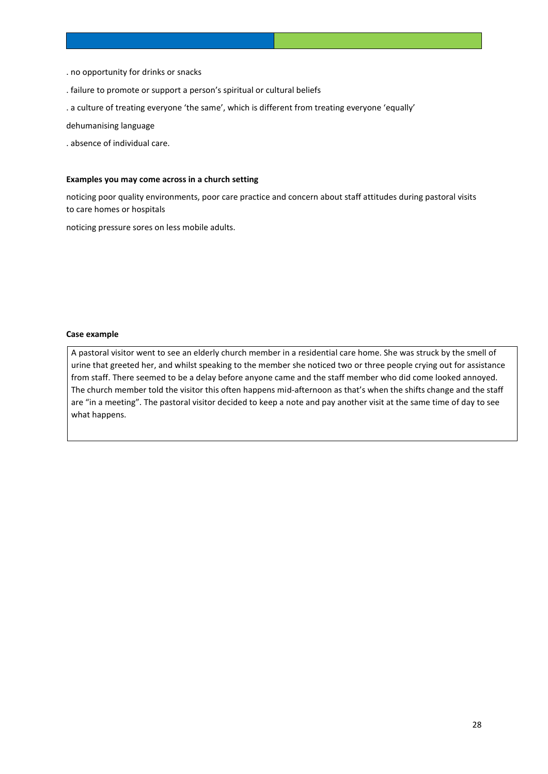- . no opportunity for drinks or snacks
- . failure to promote or support a person's spiritual or cultural beliefs
- . a culture of treating everyone 'the same', which is different from treating everyone 'equally'

dehumanising language

. absence of individual care.

#### **Examples you may come across in a church setting**

noticing poor quality environments, poor care practice and concern about staff attitudes during pastoral visits to care homes or hospitals

noticing pressure sores on less mobile adults.

#### **Case example**

A pastoral visitor went to see an elderly church member in a residential care home. She was struck by the smell of urine that greeted her, and whilst speaking to the member she noticed two or three people crying out for assistance from staff. There seemed to be a delay before anyone came and the staff member who did come looked annoyed. The church member told the visitor this often happens mid-afternoon as that's when the shifts change and the staff are "in a meeting". The pastoral visitor decided to keep a note and pay another visit at the same time of day to see what happens.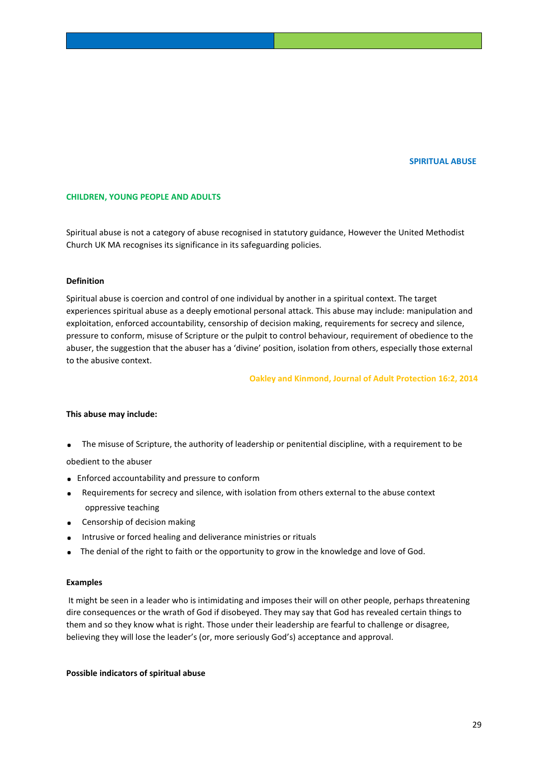#### **SPIRITUAL ABUSE**

#### **CHILDREN, YOUNG PEOPLE AND ADULTS**

Spiritual abuse is not a category of abuse recognised in statutory guidance, However the United Methodist Church UK MA recognises its significance in its safeguarding policies.

#### **Definition**

Spiritual abuse is coercion and control of one individual by another in a spiritual context. The target experiences spiritual abuse as a deeply emotional personal attack. This abuse may include: manipulation and exploitation, enforced accountability, censorship of decision making, requirements for secrecy and silence, pressure to conform, misuse of Scripture or the pulpit to control behaviour, requirement of obedience to the abuser, the suggestion that the abuser has a 'divine' position, isolation from others, especially those external to the abusive context.

 **Oakley and Kinmond, Journal of Adult Protection 16:2, 2014** 

#### **This abuse may include:**

**.** The misuse of Scripture, the authority of leadership or penitential discipline, with a requirement to be

obedient to the abuser

- **.** Enforced accountability and pressure to conform
- **.** Requirements for secrecy and silence, with isolation from others external to the abuse context oppressive teaching
- **.** Censorship of decision making
- **.** Intrusive or forced healing and deliverance ministries or rituals
- **.** The denial of the right to faith or the opportunity to grow in the knowledge and love of God.

#### **Examples**

It might be seen in a leader who is intimidating and imposes their will on other people, perhaps threatening dire consequences or the wrath of God if disobeyed. They may say that God has revealed certain things to them and so they know what is right. Those under their leadership are fearful to challenge or disagree, believing they will lose the leader's (or, more seriously God's) acceptance and approval.

#### **Possible indicators of spiritual abuse**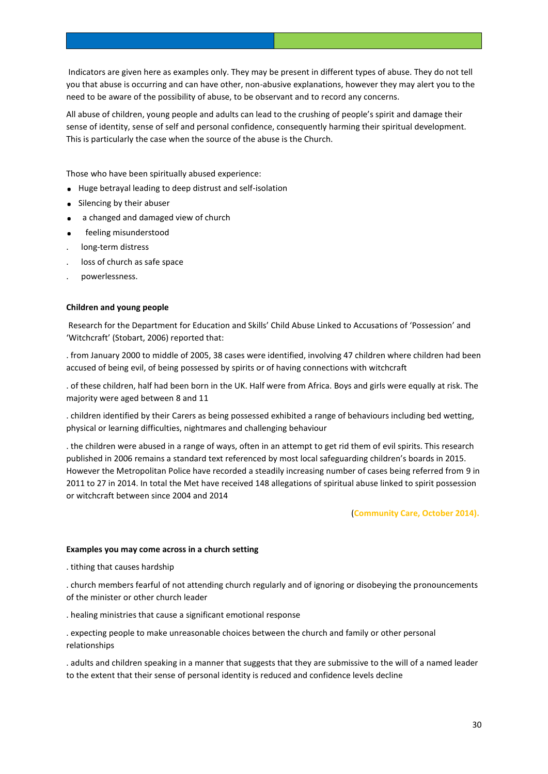Indicators are given here as examples only. They may be present in different types of abuse. They do not tell you that abuse is occurring and can have other, non-abusive explanations, however they may alert you to the need to be aware of the possibility of abuse, to be observant and to record any concerns.

All abuse of children, young people and adults can lead to the crushing of people's spirit and damage their sense of identity, sense of self and personal confidence, consequently harming their spiritual development. This is particularly the case when the source of the abuse is the Church.

Those who have been spiritually abused experience:

- **.** Huge betrayal leading to deep distrust and self-isolation
- **.** Silencing by their abuser
- **.** a changed and damaged view of church
- **.** feeling misunderstood
- . long-term distress
- loss of church as safe space
- . powerlessness.

#### **Children and young people**

Research for the Department for Education and Skills' Child Abuse Linked to Accusations of 'Possession' and 'Witchcraft' (Stobart, 2006) reported that:

. from January 2000 to middle of 2005, 38 cases were identified, involving 47 children where children had been accused of being evil, of being possessed by spirits or of having connections with witchcraft

. of these children, half had been born in the UK. Half were from Africa. Boys and girls were equally at risk. The majority were aged between 8 and 11

. children identified by their Carers as being possessed exhibited a range of behaviours including bed wetting, physical or learning difficulties, nightmares and challenging behaviour

. the children were abused in a range of ways, often in an attempt to get rid them of evil spirits. This research published in 2006 remains a standard text referenced by most local safeguarding children's boards in 2015. However the Metropolitan Police have recorded a steadily increasing number of cases being referred from 9 in 2011 to 27 in 2014. In total the Met have received 148 allegations of spiritual abuse linked to spirit possession or witchcraft between since 2004 and 2014

#### (**Community Care, October 2014).**

#### **Examples you may come across in a church setting**

. tithing that causes hardship

. church members fearful of not attending church regularly and of ignoring or disobeying the pronouncements of the minister or other church leader

. healing ministries that cause a significant emotional response

. expecting people to make unreasonable choices between the church and family or other personal relationships

. adults and children speaking in a manner that suggests that they are submissive to the will of a named leader to the extent that their sense of personal identity is reduced and confidence levels decline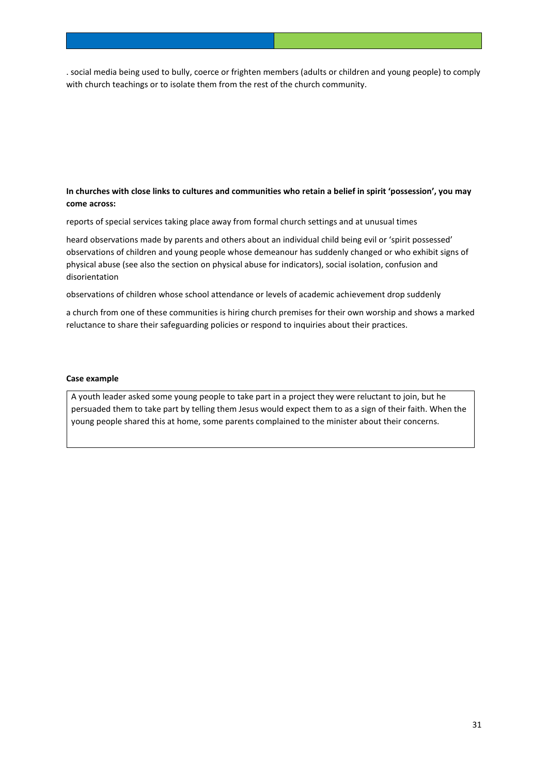. social media being used to bully, coerce or frighten members (adults or children and young people) to comply with church teachings or to isolate them from the rest of the church community.

## **In churches with close links to cultures and communities who retain a belief in spirit 'possession', you may come across:**

reports of special services taking place away from formal church settings and at unusual times

heard observations made by parents and others about an individual child being evil or 'spirit possessed' observations of children and young people whose demeanour has suddenly changed or who exhibit signs of physical abuse (see also the section on physical abuse for indicators), social isolation, confusion and disorientation

observations of children whose school attendance or levels of academic achievement drop suddenly

a church from one of these communities is hiring church premises for their own worship and shows a marked reluctance to share their safeguarding policies or respond to inquiries about their practices.

#### **Case example**

A youth leader asked some young people to take part in a project they were reluctant to join, but he persuaded them to take part by telling them Jesus would expect them to as a sign of their faith. When the young people shared this at home, some parents complained to the minister about their concerns.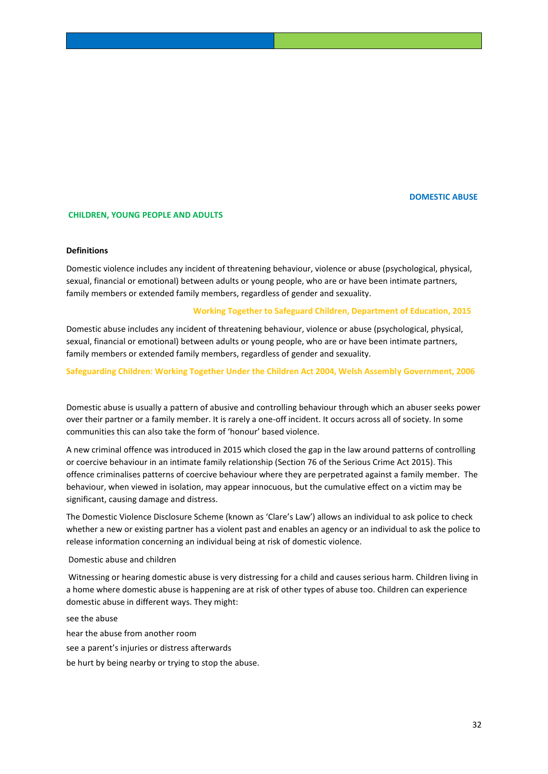#### **DOMESTIC ABUSE**

#### **CHILDREN, YOUNG PEOPLE AND ADULTS**

#### **Definitions**

Domestic violence includes any incident of threatening behaviour, violence or abuse (psychological, physical, sexual, financial or emotional) between adults or young people, who are or have been intimate partners, family members or extended family members, regardless of gender and sexuality.

#### **Working Together to Safeguard Children, Department of Education, 2015**

Domestic abuse includes any incident of threatening behaviour, violence or abuse (psychological, physical, sexual, financial or emotional) between adults or young people, who are or have been intimate partners, family members or extended family members, regardless of gender and sexuality.

**Safeguarding Children: Working Together Under the Children Act 2004, Welsh Assembly Government, 2006**

Domestic abuse is usually a pattern of abusive and controlling behaviour through which an abuser seeks power over their partner or a family member. It is rarely a one-off incident. It occurs across all of society. In some communities this can also take the form of 'honour' based violence.

A new criminal offence was introduced in 2015 which closed the gap in the law around patterns of controlling or coercive behaviour in an intimate family relationship (Section 76 of the Serious Crime Act 2015). This offence criminalises patterns of coercive behaviour where they are perpetrated against a family member. The behaviour, when viewed in isolation, may appear innocuous, but the cumulative effect on a victim may be significant, causing damage and distress.

The Domestic Violence Disclosure Scheme (known as 'Clare's Law') allows an individual to ask police to check whether a new or existing partner has a violent past and enables an agency or an individual to ask the police to release information concerning an individual being at risk of domestic violence.

#### Domestic abuse and children

Witnessing or hearing domestic abuse is very distressing for a child and causes serious harm. Children living in a home where domestic abuse is happening are at risk of other types of abuse too. Children can experience domestic abuse in different ways. They might:

see the abuse hear the abuse from another room see a parent's injuries or distress afterwards be hurt by being nearby or trying to stop the abuse.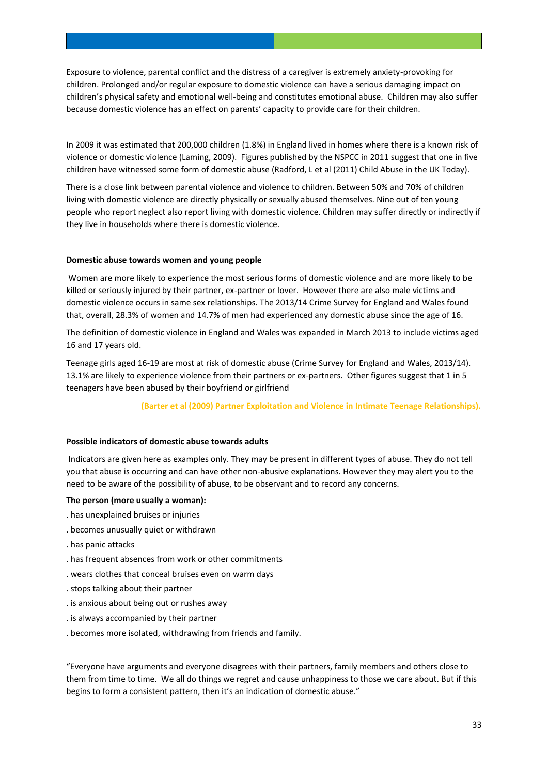Exposure to violence, parental conflict and the distress of a caregiver is extremely anxiety-provoking for children. Prolonged and/or regular exposure to domestic violence can have a serious damaging impact on children's physical safety and emotional well-being and constitutes emotional abuse. Children may also suffer because domestic violence has an effect on parents' capacity to provide care for their children.

In 2009 it was estimated that 200,000 children (1.8%) in England lived in homes where there is a known risk of violence or domestic violence (Laming, 2009). Figures published by the NSPCC in 2011 suggest that one in five children have witnessed some form of domestic abuse (Radford, L et al (2011) Child Abuse in the UK Today).

There is a close link between parental violence and violence to children. Between 50% and 70% of children living with domestic violence are directly physically or sexually abused themselves. Nine out of ten young people who report neglect also report living with domestic violence. Children may suffer directly or indirectly if they live in households where there is domestic violence.

## **Domestic abuse towards women and young people**

Women are more likely to experience the most serious forms of domestic violence and are more likely to be killed or seriously injured by their partner, ex-partner or lover. However there are also male victims and domestic violence occurs in same sex relationships. The 2013/14 Crime Survey for England and Wales found that, overall, 28.3% of women and 14.7% of men had experienced any domestic abuse since the age of 16.

The definition of domestic violence in England and Wales was expanded in March 2013 to include victims aged 16 and 17 years old.

Teenage girls aged 16-19 are most at risk of domestic abuse (Crime Survey for England and Wales, 2013/14). 13.1% are likely to experience violence from their partners or ex-partners. Other figures suggest that 1 in 5 teenagers have been abused by their boyfriend or girlfriend

 **(Barter et al (2009) Partner Exploitation and Violence in Intimate Teenage Relationships).** 

## **Possible indicators of domestic abuse towards adults**

Indicators are given here as examples only. They may be present in different types of abuse. They do not tell you that abuse is occurring and can have other non-abusive explanations. However they may alert you to the need to be aware of the possibility of abuse, to be observant and to record any concerns.

## **The person (more usually a woman):**

- . has unexplained bruises or injuries
- . becomes unusually quiet or withdrawn
- . has panic attacks
- . has frequent absences from work or other commitments
- . wears clothes that conceal bruises even on warm days
- . stops talking about their partner
- . is anxious about being out or rushes away
- . is always accompanied by their partner
- . becomes more isolated, withdrawing from friends and family.

"Everyone have arguments and everyone disagrees with their partners, family members and others close to them from time to time. We all do things we regret and cause unhappiness to those we care about. But if this begins to form a consistent pattern, then it's an indication of domestic abuse."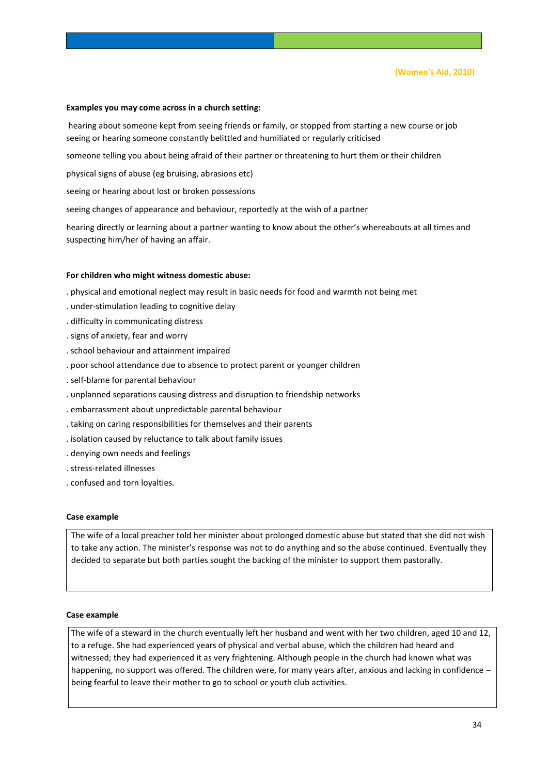**(Women's Aid, 2010)**

#### **Examples you may come across in a church setting:**

hearing about someone kept from seeing friends or family, or stopped from starting a new course or job seeing or hearing someone constantly belittled and humiliated or regularly criticised

someone telling you about being afraid of their partner or threatening to hurt them or their children

physical signs of abuse (eg bruising, abrasions etc)

seeing or hearing about lost or broken possessions

seeing changes of appearance and behaviour, reportedly at the wish of a partner

hearing directly or learning about a partner wanting to know about the other's whereabouts at all times and suspecting him/her of having an affair.

#### **For children who might witness domestic abuse:**

- . physical and emotional neglect may result in basic needs for food and warmth not being met
- . under-stimulation leading to cognitive delay
- . difficulty in communicating distress
- . signs of anxiety, fear and worry
- . school behaviour and attainment impaired
- . poor school attendance due to absence to protect parent or younger children
- . self-blame for parental behaviour
- . unplanned separations causing distress and disruption to friendship networks
- . embarrassment about unpredictable parental behaviour
- . taking on caring responsibilities for themselves and their parents
- . isolation caused by reluctance to talk about family issues
- . denying own needs and feelings
- . stress-related illnesses
- . confused and torn loyalties.

#### **Case example**

The wife of a local preacher told her minister about prolonged domestic abuse but stated that she did not wish to take any action. The minister's response was not to do anything and so the abuse continued. Eventually they decided to separate but both parties sought the backing of the minister to support them pastorally.

## **Case example**

The wife of a steward in the church eventually left her husband and went with her two children, aged 10 and 12, to a refuge. She had experienced years of physical and verbal abuse, which the children had heard and witnessed; they had experienced it as very frightening. Although people in the church had known what was happening, no support was offered. The children were, for many years after, anxious and lacking in confidence – being fearful to leave their mother to go to school or youth club activities.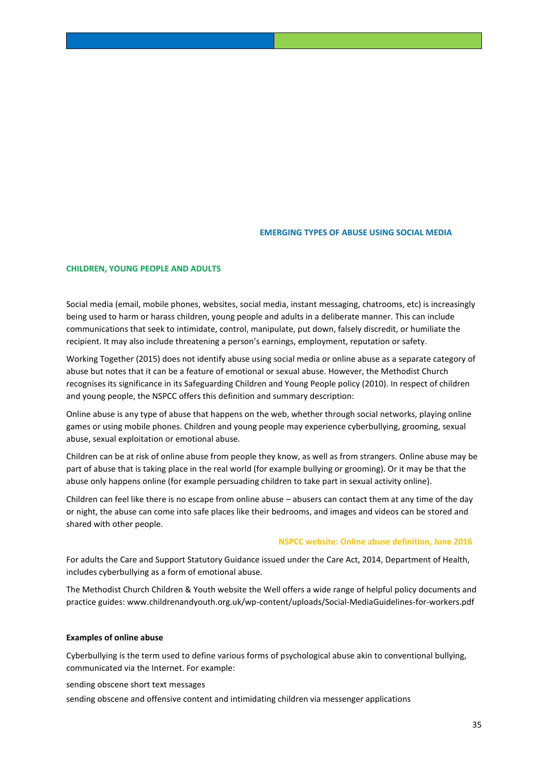#### **EMERGING TYPES OF ABUSE USING SOCIAL MEDIA**

#### **CHILDREN, YOUNG PEOPLE AND ADULTS**

Social media (email, mobile phones, websites, social media, instant messaging, chatrooms, etc) is increasingly being used to harm or harass children, young people and adults in a deliberate manner. This can include communications that seek to intimidate, control, manipulate, put down, falsely discredit, or humiliate the recipient. It may also include threatening a person's earnings, employment, reputation or safety.

Working Together (2015) does not identify abuse using social media or online abuse as a separate category of abuse but notes that it can be a feature of emotional or sexual abuse. However, the Methodist Church recognises its significance in its Safeguarding Children and Young People policy (2010). In respect of children and young people, the NSPCC offers this definition and summary description:

Online abuse is any type of abuse that happens on the web, whether through social networks, playing online games or using mobile phones. Children and young people may experience cyberbullying, grooming, sexual abuse, sexual exploitation or emotional abuse.

Children can be at risk of online abuse from people they know, as well as from strangers. Online abuse may be part of abuse that is taking place in the real world (for example bullying or grooming). Or it may be that the abuse only happens online (for example persuading children to take part in sexual activity online).

Children can feel like there is no escape from online abuse – abusers can contact them at any time of the day or night, the abuse can come into safe places like their bedrooms, and images and videos can be stored and shared with other people.

#### **NSPCC website: Online abuse definition, June 2016**

For adults the Care and Support Statutory Guidance issued under the Care Act, 2014, Department of Health, includes cyberbullying as a form of emotional abuse.

The Methodist Church Children & Youth website the Well offers a wide range of helpful policy documents and practice guides: www.childrenandyouth.org.uk/wp-content/uploads/Social-MediaGuidelines-for-workers.pdf

#### **Examples of online abuse**

Cyberbullying is the term used to define various forms of psychological abuse akin to conventional bullying, communicated via the Internet. For example:

sending obscene short text messages

sending obscene and offensive content and intimidating children via messenger applications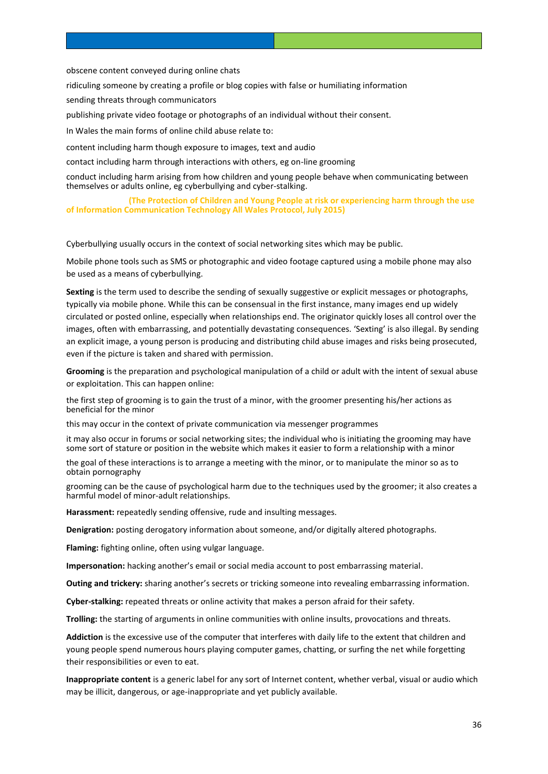obscene content conveyed during online chats

ridiculing someone by creating a profile or blog copies with false or humiliating information

sending threats through communicators

publishing private video footage or photographs of an individual without their consent.

In Wales the main forms of online child abuse relate to:

content including harm though exposure to images, text and audio

contact including harm through interactions with others, eg on-line grooming

conduct including harm arising from how children and young people behave when communicating between themselves or adults online, eg cyberbullying and cyber-stalking.

 **(The Protection of Children and Young People at risk or experiencing harm through the use of Information Communication Technology All Wales Protocol, July 2015)**

Cyberbullying usually occurs in the context of social networking sites which may be public.

Mobile phone tools such as SMS or photographic and video footage captured using a mobile phone may also be used as a means of cyberbullying.

**Sexting** is the term used to describe the sending of sexually suggestive or explicit messages or photographs, typically via mobile phone. While this can be consensual in the first instance, many images end up widely circulated or posted online, especially when relationships end. The originator quickly loses all control over the images, often with embarrassing, and potentially devastating consequences. 'Sexting' is also illegal. By sending an explicit image, a young person is producing and distributing child abuse images and risks being prosecuted, even if the picture is taken and shared with permission.

**Grooming** is the preparation and psychological manipulation of a child or adult with the intent of sexual abuse or exploitation. This can happen online:

the first step of grooming is to gain the trust of a minor, with the groomer presenting his/her actions as beneficial for the minor

this may occur in the context of private communication via messenger programmes

it may also occur in forums or social networking sites; the individual who is initiating the grooming may have some sort of stature or position in the website which makes it easier to form a relationship with a minor

the goal of these interactions is to arrange a meeting with the minor, or to manipulate the minor so as to obtain pornography

grooming can be the cause of psychological harm due to the techniques used by the groomer; it also creates a harmful model of minor-adult relationships.

**Harassment:** repeatedly sending offensive, rude and insulting messages.

**Denigration:** posting derogatory information about someone, and/or digitally altered photographs.

**Flaming:** fighting online, often using vulgar language.

**Impersonation:** hacking another's email or social media account to post embarrassing material.

**Outing and trickery:** sharing another's secrets or tricking someone into revealing embarrassing information.

**Cyber-stalking:** repeated threats or online activity that makes a person afraid for their safety.

**Trolling:** the starting of arguments in online communities with online insults, provocations and threats.

**Addiction** is the excessive use of the computer that interferes with daily life to the extent that children and young people spend numerous hours playing computer games, chatting, or surfing the net while forgetting their responsibilities or even to eat.

**Inappropriate content** is a generic label for any sort of Internet content, whether verbal, visual or audio which may be illicit, dangerous, or age-inappropriate and yet publicly available.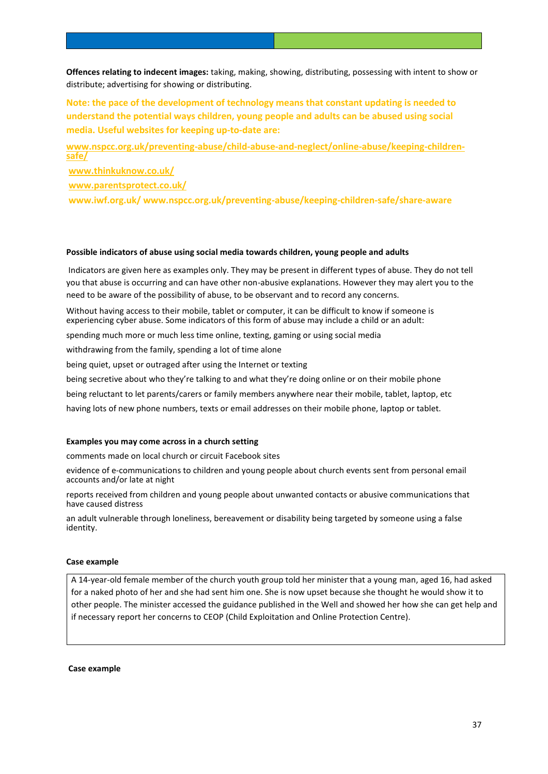**Offences relating to indecent images:** taking, making, showing, distributing, possessing with intent to show or distribute; advertising for showing or distributing.

**Note: the pace of the development of technology means that constant updating is needed to understand the potential ways children, young people and adults can be abused using social media. Useful websites for keeping up-to-date are:**

**[www.nspcc.org.uk/preventing-abuse/child-abuse-and-neglect/online-abuse/keeping-children](http://www.nspcc.org.uk/preventing-abuse/child-abuse-and-neglect/online-abuse/keeping-children-safe/)[safe/](http://www.nspcc.org.uk/preventing-abuse/child-abuse-and-neglect/online-abuse/keeping-children-safe/)**

**[www.thinkuknow.co.uk/](http://www.thinkuknow.co.uk/)**

**[www.parentsprotect.co.uk/](http://www.parentsprotect.co.uk/)**

**www.iwf.org.uk/ www.nspcc.org.uk/preventing-abuse/keeping-children-safe/share-aware**

#### **Possible indicators of abuse using social media towards children, young people and adults**

Indicators are given here as examples only. They may be present in different types of abuse. They do not tell you that abuse is occurring and can have other non-abusive explanations. However they may alert you to the need to be aware of the possibility of abuse, to be observant and to record any concerns.

Without having access to their mobile, tablet or computer, it can be difficult to know if someone is experiencing cyber abuse. Some indicators of this form of abuse may include a child or an adult:

spending much more or much less time online, texting, gaming or using social media

withdrawing from the family, spending a lot of time alone

being quiet, upset or outraged after using the Internet or texting

being secretive about who they're talking to and what they're doing online or on their mobile phone

being reluctant to let parents/carers or family members anywhere near their mobile, tablet, laptop, etc

having lots of new phone numbers, texts or email addresses on their mobile phone, laptop or tablet.

#### **Examples you may come across in a church setting**

comments made on local church or circuit Facebook sites

evidence of e-communications to children and young people about church events sent from personal email accounts and/or late at night

reports received from children and young people about unwanted contacts or abusive communications that have caused distress

an adult vulnerable through loneliness, bereavement or disability being targeted by someone using a false identity.

#### **Case example**

A 14-year-old female member of the church youth group told her minister that a young man, aged 16, had asked for a naked photo of her and she had sent him one. She is now upset because she thought he would show it to other people. The minister accessed the guidance published in the Well and showed her how she can get help and if necessary report her concerns to CEOP (Child Exploitation and Online Protection Centre).

**Case example**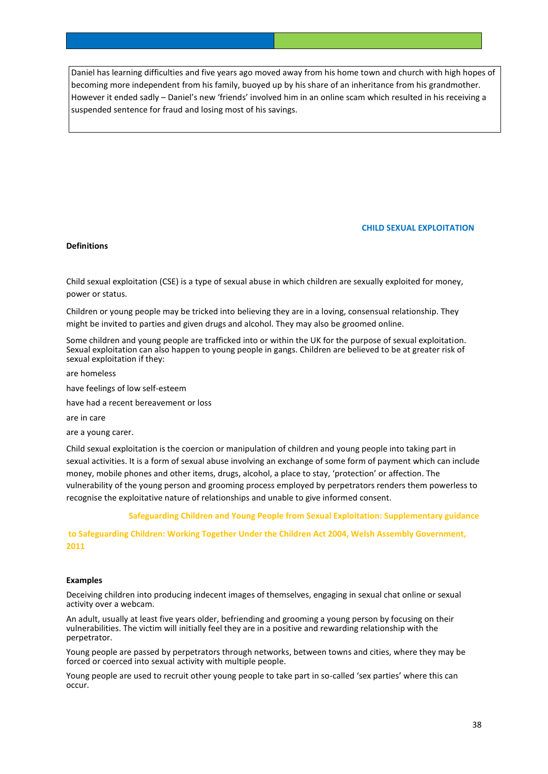Daniel has learning difficulties and five years ago moved away from his home town and church with high hopes of becoming more independent from his family, buoyed up by his share of an inheritance from his grandmother. However it ended sadly – Daniel's new 'friends' involved him in an online scam which resulted in his receiving a suspended sentence for fraud and losing most of his savings.

## **CHILD SEXUAL EXPLOITATION**

## **Definitions**

Child sexual exploitation (CSE) is a type of sexual abuse in which children are sexually exploited for money, power or status.

Children or young people may be tricked into believing they are in a loving, consensual relationship. They might be invited to parties and given drugs and alcohol. They may also be groomed online.

Some children and young people are trafficked into or within the UK for the purpose of sexual exploitation. Sexual exploitation can also happen to young people in gangs. Children are believed to be at greater risk of sexual exploitation if they:

are homeless

have feelings of low self-esteem

have had a recent bereavement or loss

are in care

are a young carer.

Child sexual exploitation is the coercion or manipulation of children and young people into taking part in sexual activities. It is a form of sexual abuse involving an exchange of some form of payment which can include money, mobile phones and other items, drugs, alcohol, a place to stay, 'protection' or affection. The vulnerability of the young person and grooming process employed by perpetrators renders them powerless to recognise the exploitative nature of relationships and unable to give informed consent.

 **Safeguarding Children and Young People from Sexual Exploitation: Supplementary guidance** 

**to Safeguarding Children: Working Together Under the Children Act 2004, Welsh Assembly Government, 2011**

#### **Examples**

Deceiving children into producing indecent images of themselves, engaging in sexual chat online or sexual activity over a webcam.

An adult, usually at least five years older, befriending and grooming a young person by focusing on their vulnerabilities. The victim will initially feel they are in a positive and rewarding relationship with the perpetrator.

Young people are passed by perpetrators through networks, between towns and cities, where they may be forced or coerced into sexual activity with multiple people.

Young people are used to recruit other young people to take part in so-called 'sex parties' where this can occur.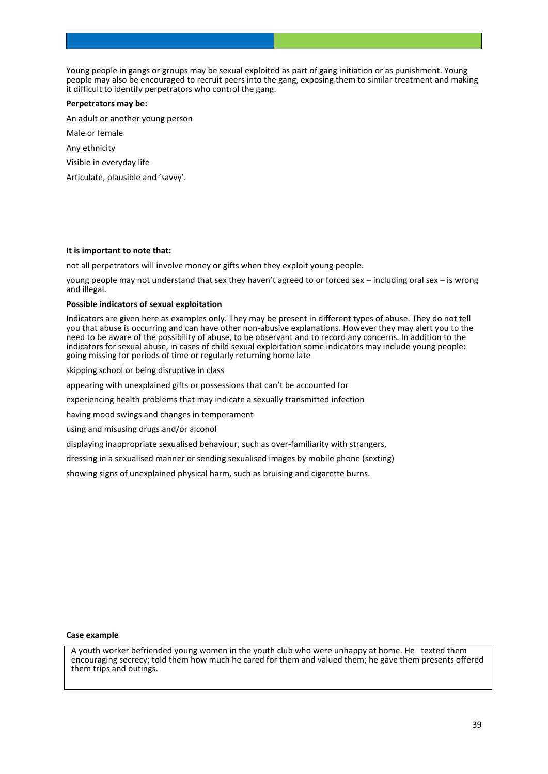Young people in gangs or groups may be sexual exploited as part of gang initiation or as punishment. Young people may also be encouraged to recruit peers into the gang, exposing them to similar treatment and making it difficult to identify perpetrators who control the gang.

#### **Perpetrators may be:**

An adult or another young person

Male or female

Any ethnicity

Visible in everyday life

Articulate, plausible and 'savvy'.

#### **It is important to note that:**

not all perpetrators will involve money or gifts when they exploit young people.

young people may not understand that sex they haven't agreed to or forced sex – including oral sex – is wrong and illegal.

## **Possible indicators of sexual exploitation**

Indicators are given here as examples only. They may be present in different types of abuse. They do not tell you that abuse is occurring and can have other non-abusive explanations. However they may alert you to the need to be aware of the possibility of abuse, to be observant and to record any concerns. In addition to the indicators for sexual abuse, in cases of child sexual exploitation some indicators may include young people: going missing for periods of time or regularly returning home late

skipping school or being disruptive in class

appearing with unexplained gifts or possessions that can't be accounted for

experiencing health problems that may indicate a sexually transmitted infection

having mood swings and changes in temperament

using and misusing drugs and/or alcohol

displaying inappropriate sexualised behaviour, such as over-familiarity with strangers,

dressing in a sexualised manner or sending sexualised images by mobile phone (sexting)

showing signs of unexplained physical harm, such as bruising and cigarette burns.

#### **Case example**

A youth worker befriended young women in the youth club who were unhappy at home. He texted them encouraging secrecy; told them how much he cared for them and valued them; he gave them presents offered them trips and outings.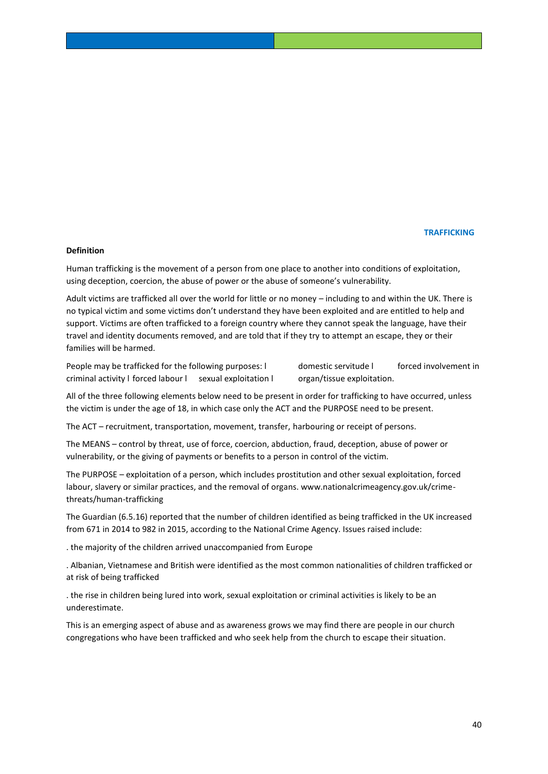#### *TRAFFICKING AND RESERVE AT A RESERVE AT A RESERVE AT A RESERVE AT A RESERVE AT A RESERVE AT A RESERVE AT A RESERVE*

#### **Definition**

Human trafficking is the movement of a person from one place to another into conditions of exploitation, using deception, coercion, the abuse of power or the abuse of someone's vulnerability.

Adult victims are trafficked all over the world for little or no money – including to and within the UK. There is no typical victim and some victims don't understand they have been exploited and are entitled to help and support. Victims are often trafficked to a foreign country where they cannot speak the language, have their travel and identity documents removed, and are told that if they try to attempt an escape, they or their families will be harmed.

People may be trafficked for the following purposes: l domestic servitude l forced involvement in criminal activity l forced labour l sexual exploitation l organ/tissue exploitation.

All of the three following elements below need to be present in order for trafficking to have occurred, unless the victim is under the age of 18, in which case only the ACT and the PURPOSE need to be present.

The ACT – recruitment, transportation, movement, transfer, harbouring or receipt of persons.

The MEANS – control by threat, use of force, coercion, abduction, fraud, deception, abuse of power or vulnerability, or the giving of payments or benefits to a person in control of the victim.

The PURPOSE – exploitation of a person, which includes prostitution and other sexual exploitation, forced labour, slavery or similar practices, and the removal of organs. www.nationalcrimeagency.gov.uk/crimethreats/human-trafficking

The Guardian (6.5.16) reported that the number of children identified as being trafficked in the UK increased from 671 in 2014 to 982 in 2015, according to the National Crime Agency. Issues raised include:

. the majority of the children arrived unaccompanied from Europe

. Albanian, Vietnamese and British were identified as the most common nationalities of children trafficked or at risk of being trafficked

. the rise in children being lured into work, sexual exploitation or criminal activities is likely to be an underestimate.

This is an emerging aspect of abuse and as awareness grows we may find there are people in our church congregations who have been trafficked and who seek help from the church to escape their situation.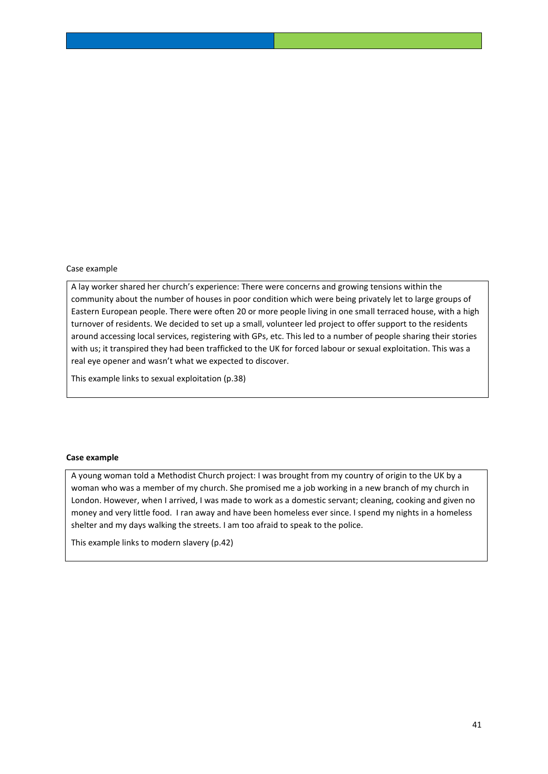## Case example

A lay worker shared her church's experience: There were concerns and growing tensions within the community about the number of houses in poor condition which were being privately let to large groups of Eastern European people. There were often 20 or more people living in one small terraced house, with a high turnover of residents. We decided to set up a small, volunteer led project to offer support to the residents around accessing local services, registering with GPs, etc. This led to a number of people sharing their stories with us; it transpired they had been trafficked to the UK for forced labour or sexual exploitation. This was a real eye opener and wasn't what we expected to discover.

This example links to sexual exploitation (p.38)

### **Case example**

A young woman told a Methodist Church project: I was brought from my country of origin to the UK by a woman who was a member of my church. She promised me a job working in a new branch of my church in London. However, when I arrived, I was made to work as a domestic servant; cleaning, cooking and given no money and very little food. I ran away and have been homeless ever since. I spend my nights in a homeless shelter and my days walking the streets. I am too afraid to speak to the police.

This example links to modern slavery (p.42)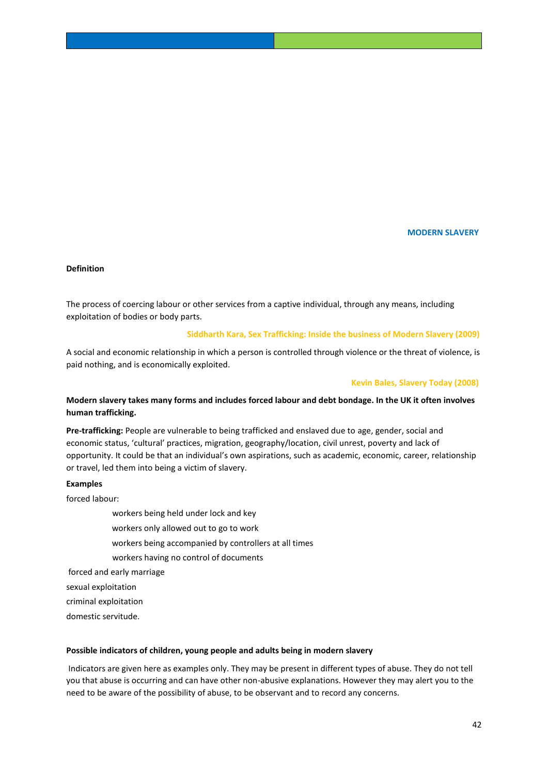#### **MODERN SLAVERY**

#### **Definition**

The process of coercing labour or other services from a captive individual, through any means, including exploitation of bodies or body parts.

#### **Siddharth Kara, Sex Trafficking: Inside the business of Modern Slavery (2009)**

A social and economic relationship in which a person is controlled through violence or the threat of violence, is paid nothing, and is economically exploited.

#### **Kevin Bales, Slavery Today (2008)**

## **Modern slavery takes many forms and includes forced labour and debt bondage. In the UK it often involves human trafficking.**

**Pre-trafficking:** People are vulnerable to being trafficked and enslaved due to age, gender, social and economic status, 'cultural' practices, migration, geography/location, civil unrest, poverty and lack of opportunity. It could be that an individual's own aspirations, such as academic, economic, career, relationship or travel, led them into being a victim of slavery.

#### **Examples**

forced labour:

- workers being held under lock and key
- workers only allowed out to go to work
- workers being accompanied by controllers at all times
- workers having no control of documents

forced and early marriage

sexual exploitation

criminal exploitation

domestic servitude.

#### **Possible indicators of children, young people and adults being in modern slavery**

Indicators are given here as examples only. They may be present in different types of abuse. They do not tell you that abuse is occurring and can have other non-abusive explanations. However they may alert you to the need to be aware of the possibility of abuse, to be observant and to record any concerns.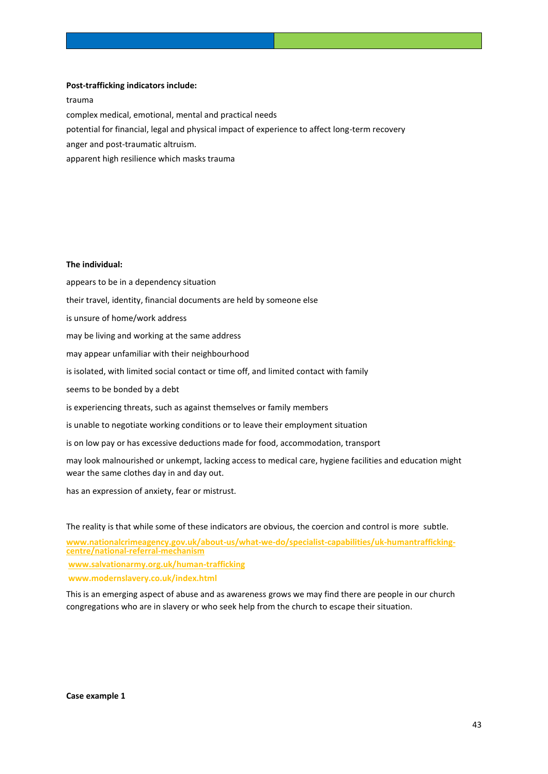## **Post-trafficking indicators include:**

trauma complex medical, emotional, mental and practical needs potential for financial, legal and physical impact of experience to affect long-term recovery anger and post-traumatic altruism. apparent high resilience which masks trauma

#### **The individual:**

appears to be in a dependency situation their travel, identity, financial documents are held by someone else is unsure of home/work address may be living and working at the same address may appear unfamiliar with their neighbourhood is isolated, with limited social contact or time off, and limited contact with family seems to be bonded by a debt is experiencing threats, such as against themselves or family members is unable to negotiate working conditions or to leave their employment situation is on low pay or has excessive deductions made for food, accommodation, transport may look malnourished or unkempt, lacking access to medical care, hygiene facilities and education might

wear the same clothes day in and day out.

has an expression of anxiety, fear or mistrust.

The reality is that while some of these indicators are obvious, the coercion and control is more subtle.

**[www.nationalcrimeagency.gov.uk/about-us/what-we-do/specialist-capabilities/uk-humantrafficking](http://www.nationalcrimeagency.gov.uk/about-us/what-we-do/specialist-capabilities/uk-humantrafficking-centre/national-referral-mechanism)[centre/national-referral-mechanism](http://www.nationalcrimeagency.gov.uk/about-us/what-we-do/specialist-capabilities/uk-humantrafficking-centre/national-referral-mechanism)**

**[www.salvationarmy.org.uk/human-trafficking](http://www.salvationarmy.org.uk/human-trafficking)**

**www.modernslavery.co.uk/index.html**

This is an emerging aspect of abuse and as awareness grows we may find there are people in our church congregations who are in slavery or who seek help from the church to escape their situation.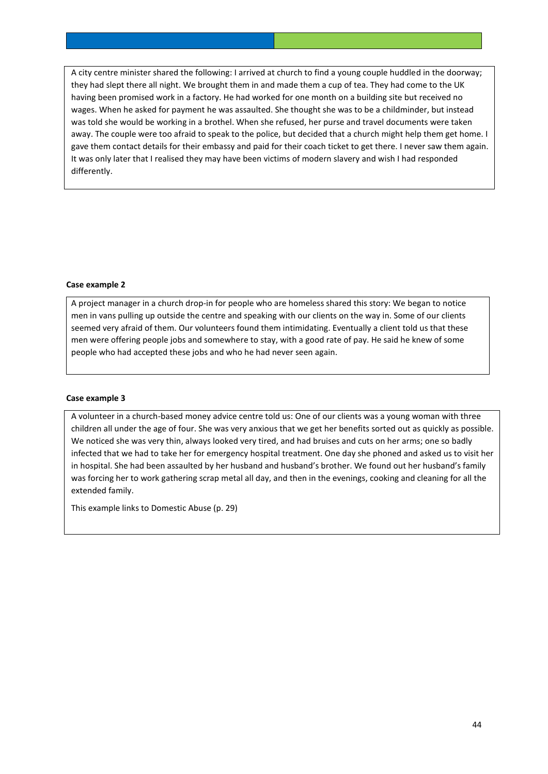A city centre minister shared the following: I arrived at church to find a young couple huddled in the doorway; they had slept there all night. We brought them in and made them a cup of tea. They had come to the UK having been promised work in a factory. He had worked for one month on a building site but received no wages. When he asked for payment he was assaulted. She thought she was to be a childminder, but instead was told she would be working in a brothel. When she refused, her purse and travel documents were taken away. The couple were too afraid to speak to the police, but decided that a church might help them get home. I gave them contact details for their embassy and paid for their coach ticket to get there. I never saw them again. It was only later that I realised they may have been victims of modern slavery and wish I had responded differently.

## **Case example 2**

A project manager in a church drop-in for people who are homeless shared this story: We began to notice men in vans pulling up outside the centre and speaking with our clients on the way in. Some of our clients seemed very afraid of them. Our volunteers found them intimidating. Eventually a client told us that these men were offering people jobs and somewhere to stay, with a good rate of pay. He said he knew of some people who had accepted these jobs and who he had never seen again.

#### **Case example 3**

A volunteer in a church-based money advice centre told us: One of our clients was a young woman with three children all under the age of four. She was very anxious that we get her benefits sorted out as quickly as possible. We noticed she was very thin, always looked very tired, and had bruises and cuts on her arms; one so badly infected that we had to take her for emergency hospital treatment. One day she phoned and asked us to visit her in hospital. She had been assaulted by her husband and husband's brother. We found out her husband's family was forcing her to work gathering scrap metal all day, and then in the evenings, cooking and cleaning for all the extended family.

This example links to Domestic Abuse (p. 29)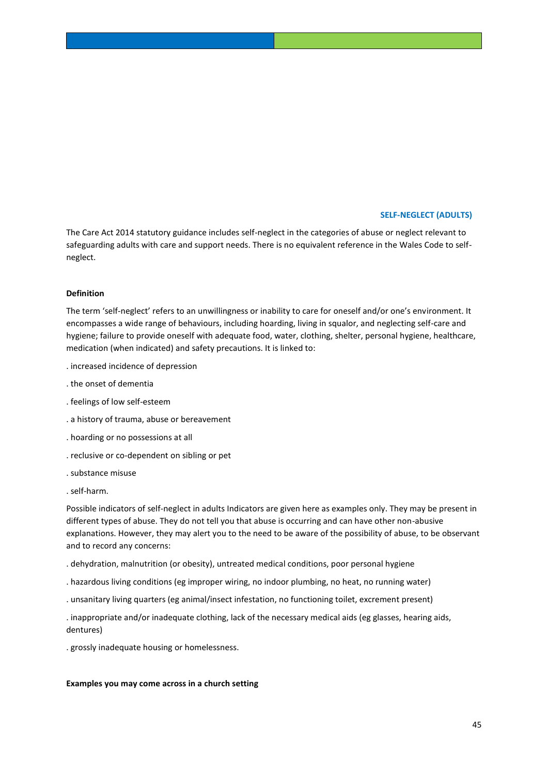## **SELF-NEGLECT (ADULTS)**

The Care Act 2014 statutory guidance includes self-neglect in the categories of abuse or neglect relevant to safeguarding adults with care and support needs. There is no equivalent reference in the Wales Code to selfneglect.

#### **Definition**

The term 'self-neglect' refers to an unwillingness or inability to care for oneself and/or one's environment. It encompasses a wide range of behaviours, including hoarding, living in squalor, and neglecting self-care and hygiene; failure to provide oneself with adequate food, water, clothing, shelter, personal hygiene, healthcare, medication (when indicated) and safety precautions. It is linked to:

- . increased incidence of depression
- . the onset of dementia
- . feelings of low self-esteem
- . a history of trauma, abuse or bereavement
- . hoarding or no possessions at all
- . reclusive or co-dependent on sibling or pet
- . substance misuse
- . self-harm.

Possible indicators of self-neglect in adults Indicators are given here as examples only. They may be present in different types of abuse. They do not tell you that abuse is occurring and can have other non-abusive explanations. However, they may alert you to the need to be aware of the possibility of abuse, to be observant and to record any concerns:

- . dehydration, malnutrition (or obesity), untreated medical conditions, poor personal hygiene
- . hazardous living conditions (eg improper wiring, no indoor plumbing, no heat, no running water)
- . unsanitary living quarters (eg animal/insect infestation, no functioning toilet, excrement present)

. inappropriate and/or inadequate clothing, lack of the necessary medical aids (eg glasses, hearing aids, dentures)

. grossly inadequate housing or homelessness.

#### **Examples you may come across in a church setting**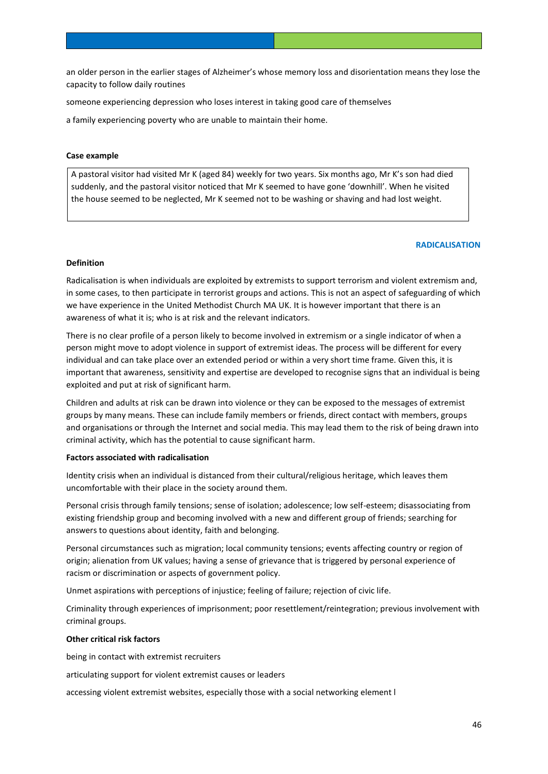an older person in the earlier stages of Alzheimer's whose memory loss and disorientation means they lose the capacity to follow daily routines

someone experiencing depression who loses interest in taking good care of themselves

a family experiencing poverty who are unable to maintain their home.

## **Case example**

A pastoral visitor had visited Mr K (aged 84) weekly for two years. Six months ago, Mr K's son had died suddenly, and the pastoral visitor noticed that Mr K seemed to have gone 'downhill'. When he visited the house seemed to be neglected, Mr K seemed not to be washing or shaving and had lost weight.

#### **RADICALISATION**

#### **Definition**

Radicalisation is when individuals are exploited by extremists to support terrorism and violent extremism and, in some cases, to then participate in terrorist groups and actions. This is not an aspect of safeguarding of which we have experience in the United Methodist Church MA UK. It is however important that there is an awareness of what it is; who is at risk and the relevant indicators.

There is no clear profile of a person likely to become involved in extremism or a single indicator of when a person might move to adopt violence in support of extremist ideas. The process will be different for every individual and can take place over an extended period or within a very short time frame. Given this, it is important that awareness, sensitivity and expertise are developed to recognise signs that an individual is being exploited and put at risk of significant harm.

Children and adults at risk can be drawn into violence or they can be exposed to the messages of extremist groups by many means. These can include family members or friends, direct contact with members, groups and organisations or through the Internet and social media. This may lead them to the risk of being drawn into criminal activity, which has the potential to cause significant harm.

## **Factors associated with radicalisation**

Identity crisis when an individual is distanced from their cultural/religious heritage, which leaves them uncomfortable with their place in the society around them.

Personal crisis through family tensions; sense of isolation; adolescence; low self-esteem; disassociating from existing friendship group and becoming involved with a new and different group of friends; searching for answers to questions about identity, faith and belonging.

Personal circumstances such as migration; local community tensions; events affecting country or region of origin; alienation from UK values; having a sense of grievance that is triggered by personal experience of racism or discrimination or aspects of government policy.

Unmet aspirations with perceptions of injustice; feeling of failure; rejection of civic life.

Criminality through experiences of imprisonment; poor resettlement/reintegration; previous involvement with criminal groups.

#### **Other critical risk factors**

being in contact with extremist recruiters

articulating support for violent extremist causes or leaders

accessing violent extremist websites, especially those with a social networking element l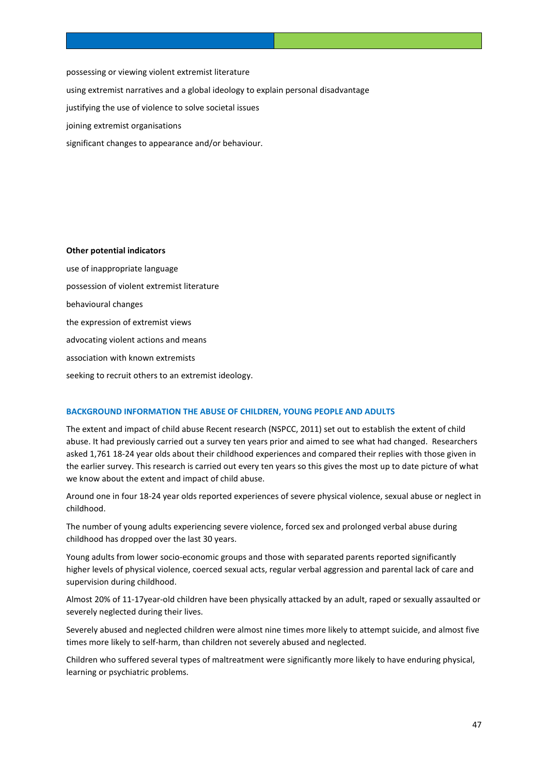possessing or viewing violent extremist literature using extremist narratives and a global ideology to explain personal disadvantage justifying the use of violence to solve societal issues joining extremist organisations

significant changes to appearance and/or behaviour.

#### **Other potential indicators**

use of inappropriate language possession of violent extremist literature behavioural changes the expression of extremist views advocating violent actions and means association with known extremists seeking to recruit others to an extremist ideology.

## **BACKGROUND INFORMATION THE ABUSE OF CHILDREN, YOUNG PEOPLE AND ADULTS**

The extent and impact of child abuse Recent research (NSPCC, 2011) set out to establish the extent of child abuse. It had previously carried out a survey ten years prior and aimed to see what had changed. Researchers asked 1,761 18-24 year olds about their childhood experiences and compared their replies with those given in the earlier survey. This research is carried out every ten years so this gives the most up to date picture of what we know about the extent and impact of child abuse.

Around one in four 18-24 year olds reported experiences of severe physical violence, sexual abuse or neglect in childhood.

The number of young adults experiencing severe violence, forced sex and prolonged verbal abuse during childhood has dropped over the last 30 years.

Young adults from lower socio-economic groups and those with separated parents reported significantly higher levels of physical violence, coerced sexual acts, regular verbal aggression and parental lack of care and supervision during childhood.

Almost 20% of 11-17year-old children have been physically attacked by an adult, raped or sexually assaulted or severely neglected during their lives.

Severely abused and neglected children were almost nine times more likely to attempt suicide, and almost five times more likely to self-harm, than children not severely abused and neglected.

Children who suffered several types of maltreatment were significantly more likely to have enduring physical, learning or psychiatric problems.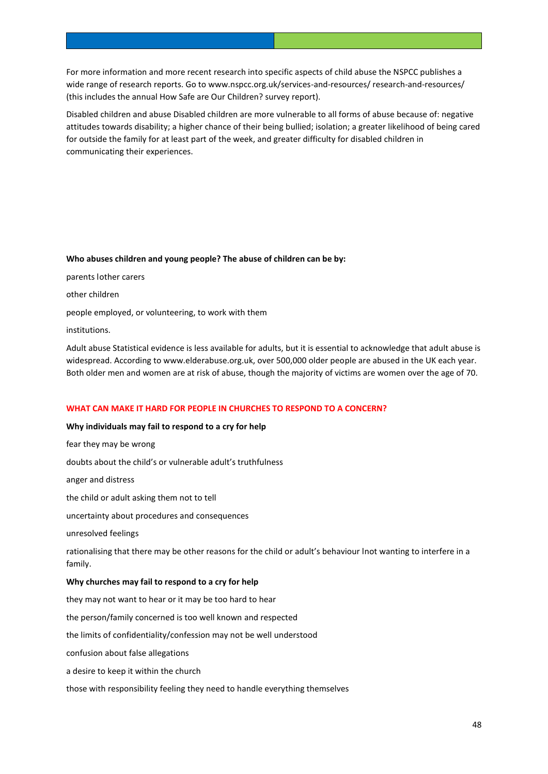For more information and more recent research into specific aspects of child abuse the NSPCC publishes a wide range of research reports. Go to www.nspcc.org.uk/services-and-resources/ research-and-resources/ (this includes the annual How Safe are Our Children? survey report).

Disabled children and abuse Disabled children are more vulnerable to all forms of abuse because of: negative attitudes towards disability; a higher chance of their being bullied; isolation; a greater likelihood of being cared for outside the family for at least part of the week, and greater difficulty for disabled children in communicating their experiences.

#### **Who abuses children and young people? The abuse of children can be by:**

parents lother carers other children people employed, or volunteering, to work with them institutions.

Adult abuse Statistical evidence is less available for adults, but it is essential to acknowledge that adult abuse is widespread. According to www.elderabuse.org.uk, over 500,000 older people are abused in the UK each year. Both older men and women are at risk of abuse, though the majority of victims are women over the age of 70.

## **WHAT CAN MAKE IT HARD FOR PEOPLE IN CHURCHES TO RESPOND TO A CONCERN?**

## **Why individuals may fail to respond to a cry for help**

fear they may be wrong doubts about the child's or vulnerable adult's truthfulness anger and distress the child or adult asking them not to tell uncertainty about procedures and consequences unresolved feelings rationalising that there may be other reasons for the child or adult's behaviour lnot wanting to interfere in a family. **Why churches may fail to respond to a cry for help** they may not want to hear or it may be too hard to hear the person/family concerned is too well known and respected the limits of confidentiality/confession may not be well understood confusion about false allegations a desire to keep it within the church those with responsibility feeling they need to handle everything themselves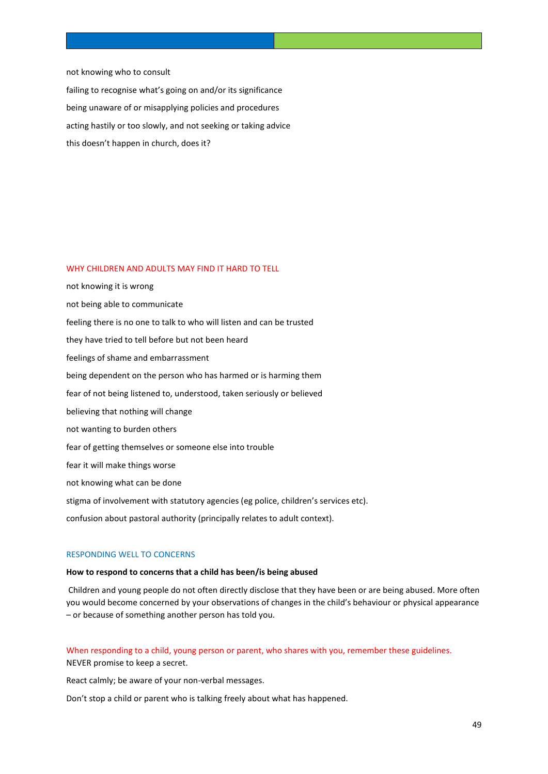not knowing who to consult

failing to recognise what's going on and/or its significance being unaware of or misapplying policies and procedures acting hastily or too slowly, and not seeking or taking advice this doesn't happen in church, does it?

## WHY CHILDREN AND ADULTS MAY FIND IT HARD TO TELL

not knowing it is wrong not being able to communicate feeling there is no one to talk to who will listen and can be trusted they have tried to tell before but not been heard feelings of shame and embarrassment being dependent on the person who has harmed or is harming them fear of not being listened to, understood, taken seriously or believed believing that nothing will change not wanting to burden others fear of getting themselves or someone else into trouble fear it will make things worse not knowing what can be done stigma of involvement with statutory agencies (eg police, children's services etc). confusion about pastoral authority (principally relates to adult context).

#### RESPONDING WELL TO CONCERNS

#### **How to respond to concerns that a child has been/is being abused**

Children and young people do not often directly disclose that they have been or are being abused. More often you would become concerned by your observations of changes in the child's behaviour or physical appearance – or because of something another person has told you.

## When responding to a child, young person or parent, who shares with you, remember these guidelines. NEVER promise to keep a secret.

React calmly; be aware of your non-verbal messages.

Don't stop a child or parent who is talking freely about what has happened.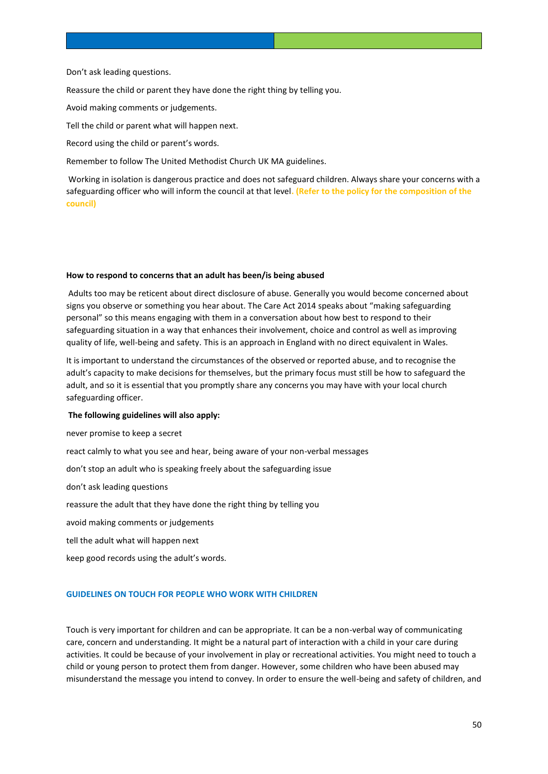#### Don't ask leading questions.

Reassure the child or parent they have done the right thing by telling you.

Avoid making comments or judgements.

Tell the child or parent what will happen next.

Record using the child or parent's words.

Remember to follow The United Methodist Church UK MA guidelines.

Working in isolation is dangerous practice and does not safeguard children. Always share your concerns with a safeguarding officer who will inform the council at that level**. (Refer to the policy for the composition of the council)**

#### **How to respond to concerns that an adult has been/is being abused**

Adults too may be reticent about direct disclosure of abuse. Generally you would become concerned about signs you observe or something you hear about. The Care Act 2014 speaks about "making safeguarding personal" so this means engaging with them in a conversation about how best to respond to their safeguarding situation in a way that enhances their involvement, choice and control as well as improving quality of life, well-being and safety. This is an approach in England with no direct equivalent in Wales.

It is important to understand the circumstances of the observed or reported abuse, and to recognise the adult's capacity to make decisions for themselves, but the primary focus must still be how to safeguard the adult, and so it is essential that you promptly share any concerns you may have with your local church safeguarding officer.

#### **The following guidelines will also apply:**

never promise to keep a secret

react calmly to what you see and hear, being aware of your non-verbal messages

don't stop an adult who is speaking freely about the safeguarding issue

don't ask leading questions

reassure the adult that they have done the right thing by telling you

avoid making comments or judgements

tell the adult what will happen next

keep good records using the adult's words.

#### **GUIDELINES ON TOUCH FOR PEOPLE WHO WORK WITH CHILDREN**

Touch is very important for children and can be appropriate. It can be a non-verbal way of communicating care, concern and understanding. It might be a natural part of interaction with a child in your care during activities. It could be because of your involvement in play or recreational activities. You might need to touch a child or young person to protect them from danger. However, some children who have been abused may misunderstand the message you intend to convey. In order to ensure the well-being and safety of children, and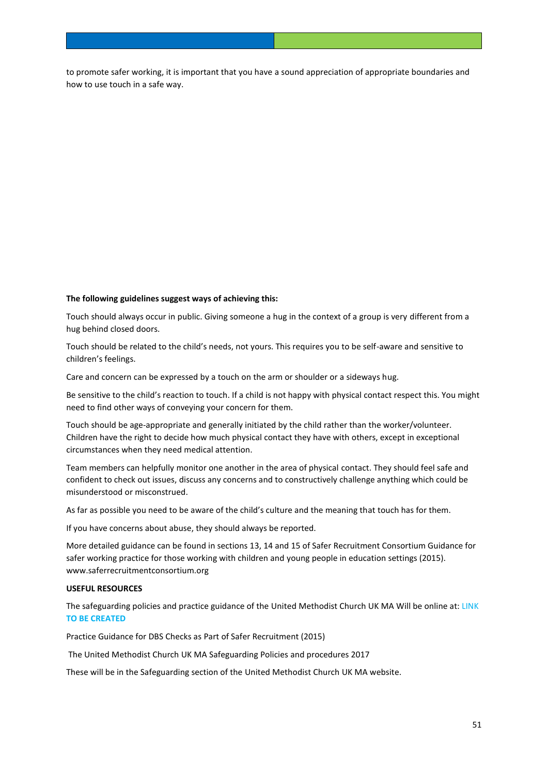to promote safer working, it is important that you have a sound appreciation of appropriate boundaries and how to use touch in a safe way.

## **The following guidelines suggest ways of achieving this:**

Touch should always occur in public. Giving someone a hug in the context of a group is very different from a hug behind closed doors.

Touch should be related to the child's needs, not yours. This requires you to be self-aware and sensitive to children's feelings.

Care and concern can be expressed by a touch on the arm or shoulder or a sideways hug.

Be sensitive to the child's reaction to touch. If a child is not happy with physical contact respect this. You might need to find other ways of conveying your concern for them.

Touch should be age-appropriate and generally initiated by the child rather than the worker/volunteer. Children have the right to decide how much physical contact they have with others, except in exceptional circumstances when they need medical attention.

Team members can helpfully monitor one another in the area of physical contact. They should feel safe and confident to check out issues, discuss any concerns and to constructively challenge anything which could be misunderstood or misconstrued.

As far as possible you need to be aware of the child's culture and the meaning that touch has for them.

If you have concerns about abuse, they should always be reported.

More detailed guidance can be found in sections 13, 14 and 15 of Safer Recruitment Consortium Guidance for safer working practice for those working with children and young people in education settings (2015). www.saferrecruitmentconsortium.org

#### **USEFUL RESOURCES**

The safeguarding policies and practice guidance of the United Methodist Church UK MA Will be online at: LINK **TO BE CREATED**

Practice Guidance for DBS Checks as Part of Safer Recruitment (2015)

The United Methodist Church UK MA Safeguarding Policies and procedures 2017

These will be in the Safeguarding section of the United Methodist Church UK MA website.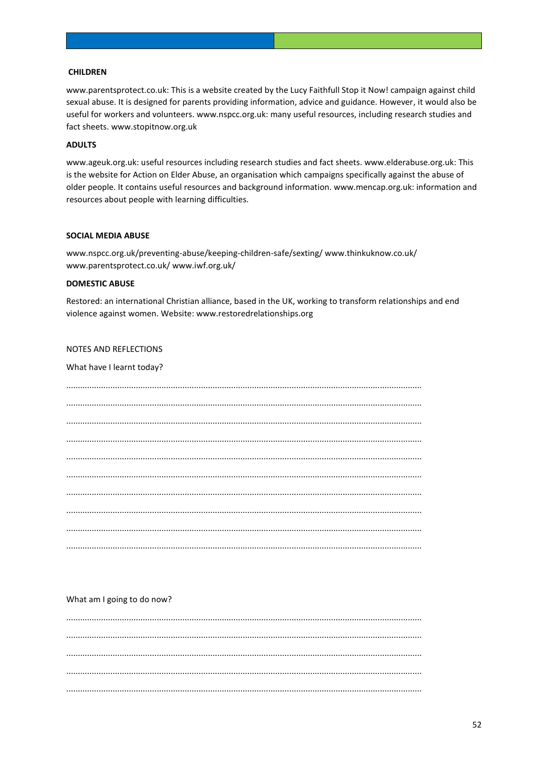## **CHILDREN**

www.parentsprotect.co.uk: This is a website created by the Lucy Faithfull Stop it Now! campaign against child sexual abuse. It is designed for parents providing information, advice and guidance. However, it would also be useful for workers and volunteers. www.nspcc.org.uk: many useful resources, including research studies and fact sheets. www.stopitnow.org.uk

#### **ADULTS**

www.ageuk.org.uk: useful resources including research studies and fact sheets. www.elderabuse.org.uk: This is the website for Action on Elder Abuse, an organisation which campaigns specifically against the abuse of older people. It contains useful resources and background information. www.mencap.org.uk: information and resources about people with learning difficulties.

## **SOCIAL MEDIA ABUSE**

www.nspcc.org.uk/preventing-abuse/keeping-children-safe/sexting/www.thinkuknow.co.uk/ www.parentsprotect.co.uk/ www.iwf.org.uk/

#### **DOMESTIC ABUSE**

Restored: an international Christian alliance, based in the UK, working to transform relationships and end violence against women. Website: www.restoredrelationships.org

## NOTES AND REFLECTIONS

#### What have I learnt today?

## What am I going to do now?